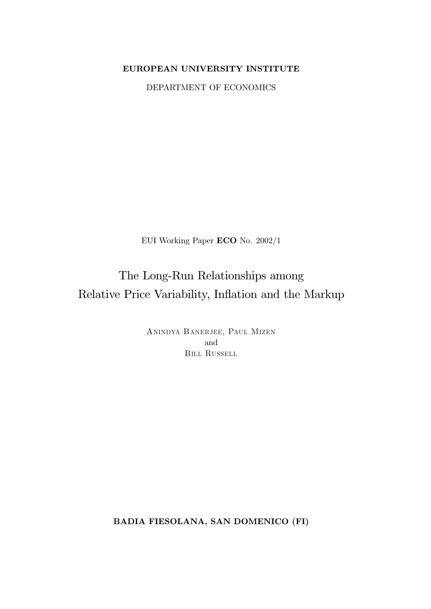# EUROPEAN UNIVERSITY INSTITUTE

DEPARTMENT OF ECONOMICS

EUI Working Paper ECO No. 2002/1

# The Long-Run Relationships among Relative Price Variability, Inflation and the Markup

ANINDYA BANERJEE, PAUL MIZEN and **BILL RUSSELL** 

BADIA FIESOLANA, SAN DOMENICO (FI)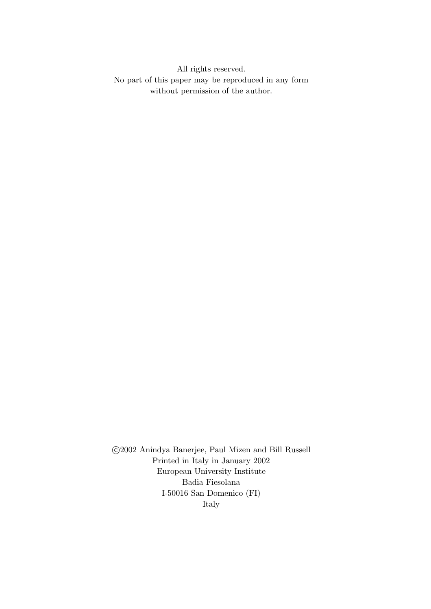All rights reserved. No part of this paper may be reproduced in any form without permission of the author.

©2002 Anindya Banerjee, Paul Mizen and Bill Russell Printed in Italy in January 2002 European University Institute Badia Fiesolana I-50016 San Domenico (FI) Italy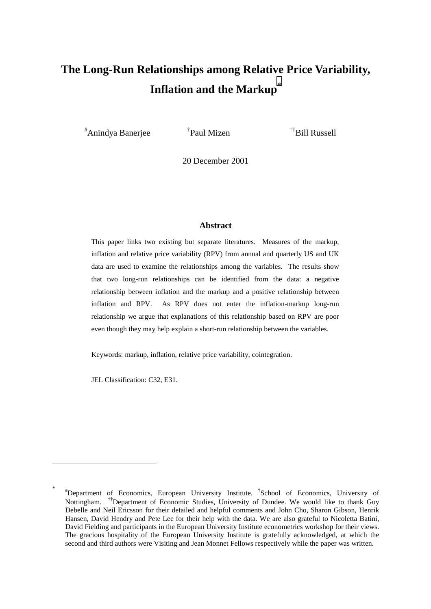# **The Long-Run Relationships among Relative Price Variability, Inflation and the Markup\***

# Anindya Banerjee †

 $\phi^{\dagger}$ Paul Mizen  $\phi^{\dagger}$ Bill Russell

20 December 2001

### **Abstract**

This paper links two existing but separate literatures. Measures of the markup, inflation and relative price variability (RPV) from annual and quarterly US and UK data are used to examine the relationships among the variables. The results show that two long-run relationships can be identified from the data: a negative relationship between inflation and the markup and a positive relationship between inflation and RPV. As RPV does not enter the inflation-markup long-run relationship we argue that explanations of this relationship based on RPV are poor even though they may help explain a short-run relationship between the variables.

Keywords: markup, inflation, relative price variability, cointegration.

JEL Classification: C32, E31.

<sup>\*</sup> # Department of Economics, European University Institute. † School of Economics, University of Nottingham. <sup>††</sup>Department of Economic Studies, University of Dundee. We would like to thank Guy Debelle and Neil Ericsson for their detailed and helpful comments and John Cho, Sharon Gibson, Henrik Hansen, David Hendry and Pete Lee for their help with the data. We are also grateful to Nicoletta Batini, David Fielding and participants in the European University Institute econometrics workshop for their views. The gracious hospitality of the European University Institute is gratefully acknowledged, at which the second and third authors were Visiting and Jean Monnet Fellows respectively while the paper was written.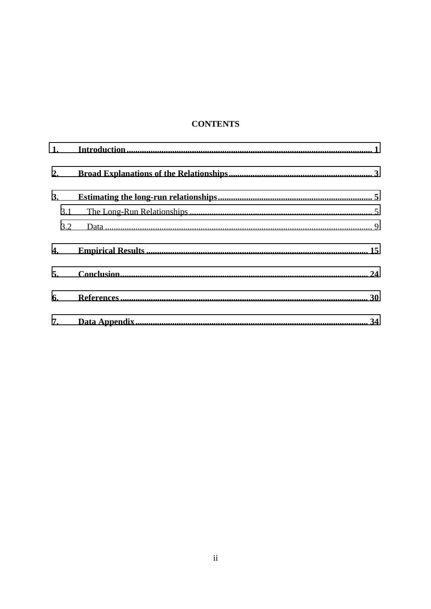# **CONTENTS**

| 1.  |  |  |  |  |  |  |  |
|-----|--|--|--|--|--|--|--|
| 2.  |  |  |  |  |  |  |  |
| 3.  |  |  |  |  |  |  |  |
| 3.1 |  |  |  |  |  |  |  |
| 3.2 |  |  |  |  |  |  |  |
| 4.  |  |  |  |  |  |  |  |
| 5.  |  |  |  |  |  |  |  |
| 6.  |  |  |  |  |  |  |  |
| 7.  |  |  |  |  |  |  |  |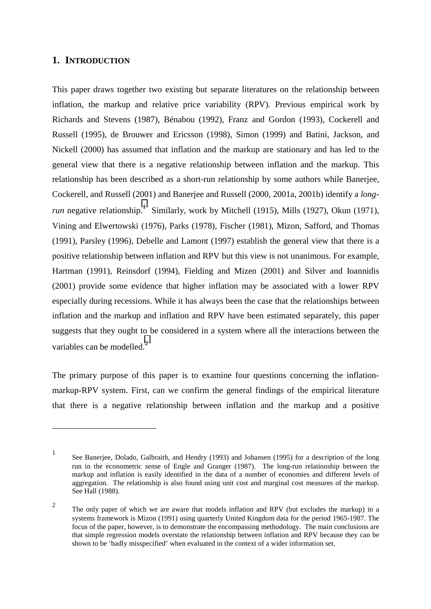## <span id="page-4-0"></span>**1. INTRODUCTION**

 $\overline{a}$ 

This paper draws together two existing but separate literatures on the relationship between inflation, the markup and relative price variability (RPV). Previous empirical work by Richards and Stevens (1987), Bénabou (1992), Franz and Gordon (1993), Cockerell and Russell (1995), de Brouwer and Ericsson (1998), Simon (1999) and Batini, Jackson, and Nickell (2000) has assumed that inflation and the markup are stationary and has led to the general view that there is a negative relationship between inflation and the markup. This relationship has been described as a short-run relationship by some authors while Banerjee, Cockerell, and Russell (2001) and Banerjee and Russell (2000, 2001a, 2001b) identify a *longrun* negative relationship.<sup>1</sup> Similarly, work by Mitchell (1915), Mills (1927), Okun (1971), Vining and Elwertowski (1976), Parks (1978), Fischer (1981), Mizon, Safford, and Thomas (1991), Parsley (1996), Debelle and Lamont (1997) establish the general view that there is a positive relationship between inflation and RPV but this view is not unanimous. For example, Hartman (1991), Reinsdorf (1994), Fielding and Mizen (2001) and Silver and Ioannidis (2001) provide some evidence that higher inflation may be associated with a lower RPV especially during recessions. While it has always been the case that the relationships between inflation and the markup and inflation and RPV have been estimated separately, this paper suggests that they ought to be considered in a system where all the interactions between the variables can be modelled. $<sup>2</sup>$ </sup>

The primary purpose of this paper is to examine four questions concerning the inflationmarkup-RPV system. First, can we confirm the general findings of the empirical literature that there is a negative relationship between inflation and the markup and a positive

<sup>1</sup> See Banerjee, Dolado, Galbraith, and Hendry (1993) and Johansen (1995) for a description of the long run in the econometric sense of Engle and Granger (1987). The long-run relationship between the markup and inflation is easily identified in the data of a number of economies and different levels of aggregation. The relationship is also found using unit cost and marginal cost measures of the markup. See Hall (1988).

<sup>&</sup>lt;sup>2</sup> The only paper of which we are aware that models inflation and RPV (but excludes the markup) in a systems framework is Mizon (1991) using quarterly United Kingdom data for the period 1965-1987. The focus of the paper, however, is to demonstrate the encompassing methodology. The main conclusions are that simple regression models overstate the relationship between inflation and RPV because they can be shown to be 'badly misspecified' when evaluated in the context of a wider information set.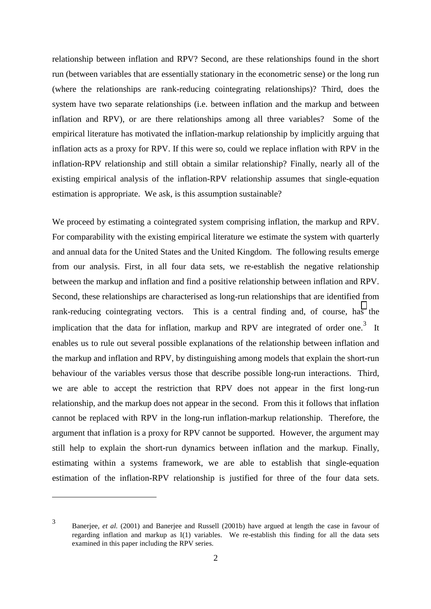relationship between inflation and RPV? Second, are these relationships found in the short run (between variables that are essentially stationary in the econometric sense) or the long run (where the relationships are rank-reducing cointegrating relationships)? Third, does the system have two separate relationships (i.e. between inflation and the markup and between inflation and RPV), or are there relationships among all three variables? Some of the empirical literature has motivated the inflation-markup relationship by implicitly arguing that inflation acts as a proxy for RPV. If this were so, could we replace inflation with RPV in the inflation-RPV relationship and still obtain a similar relationship? Finally, nearly all of the existing empirical analysis of the inflation-RPV relationship assumes that single-equation estimation is appropriate. We ask, is this assumption sustainable?

We proceed by estimating a cointegrated system comprising inflation, the markup and RPV. For comparability with the existing empirical literature we estimate the system with quarterly and annual data for the United States and the United Kingdom. The following results emerge from our analysis. First, in all four data sets, we re-establish the negative relationship between the markup and inflation and find a positive relationship between inflation and RPV. Second, these relationships are characterised as long-run relationships that are identified from rank-reducing cointegrating vectors. This is a central finding and, of course, has the implication that the data for inflation, markup and RPV are integrated of order one.<sup>3</sup> It enables us to rule out several possible explanations of the relationship between inflation and the markup and inflation and RPV, by distinguishing among models that explain the short-run behaviour of the variables versus those that describe possible long-run interactions. Third, we are able to accept the restriction that RPV does not appear in the first long-run relationship, and the markup does not appear in the second. From this it follows that inflation cannot be replaced with RPV in the long-run inflation-markup relationship. Therefore, the argument that inflation is a proxy for RPV cannot be supported. However, the argument may still help to explain the short-run dynamics between inflation and the markup. Finally, estimating within a systems framework, we are able to establish that single-equation estimation of the inflation-RPV relationship is justified for three of the four data sets.

<sup>3</sup> Banerjee*, et al.* (2001) and Banerjee and Russell (2001b) have argued at length the case in favour of regarding inflation and markup as I(1) variables. We re-establish this finding for all the data sets examined in this paper including the RPV series.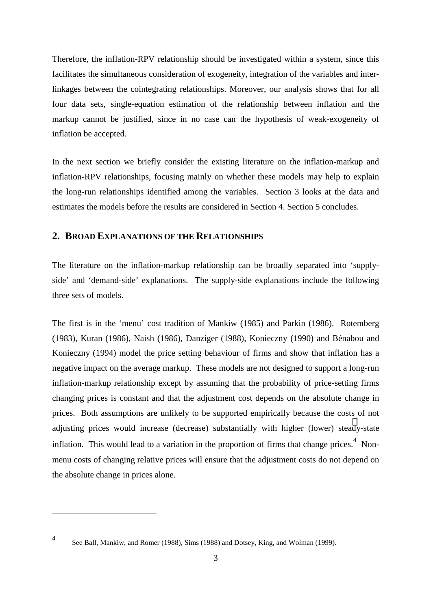<span id="page-6-0"></span>Therefore, the inflation-RPV relationship should be investigated within a system, since this facilitates the simultaneous consideration of exogeneity, integration of the variables and interlinkages between the cointegrating relationships. Moreover, our analysis shows that for all four data sets, single-equation estimation of the relationship between inflation and the markup cannot be justified, since in no case can the hypothesis of weak-exogeneity of inflation be accepted.

In the next section we briefly consider the existing literature on the inflation-markup and inflation-RPV relationships, focusing mainly on whether these models may help to explain the long-run relationships identified among the variables. Section 3 looks at the data and estimates the models before the results are considered in Section 4. Section 5 concludes.

# **2. BROAD EXPLANATIONS OF THE RELATIONSHIPS**

The literature on the inflation-markup relationship can be broadly separated into 'supplyside' and 'demand-side' explanations. The supply-side explanations include the following three sets of models.

The first is in the 'menu' cost tradition of Mankiw (1985) and Parkin (1986). Rotemberg (1983), Kuran (1986), Naish (1986), Danziger (1988), Konieczny (1990) and Bénabou and Konieczny (1994) model the price setting behaviour of firms and show that inflation has a negative impact on the average markup. These models are not designed to support a long-run inflation-markup relationship except by assuming that the probability of price-setting firms changing prices is constant and that the adjustment cost depends on the absolute change in prices. Both assumptions are unlikely to be supported empirically because the costs of not adjusting prices would increase (decrease) substantially with higher (lower) steady-state inflation. This would lead to a variation in the proportion of firms that change prices. $4$  Nonmenu costs of changing relative prices will ensure that the adjustment costs do not depend on the absolute change in prices alone.

<sup>4</sup> See Ball, Mankiw, and Romer (1988), Sims (1988) and Dotsey, King, and Wolman (1999).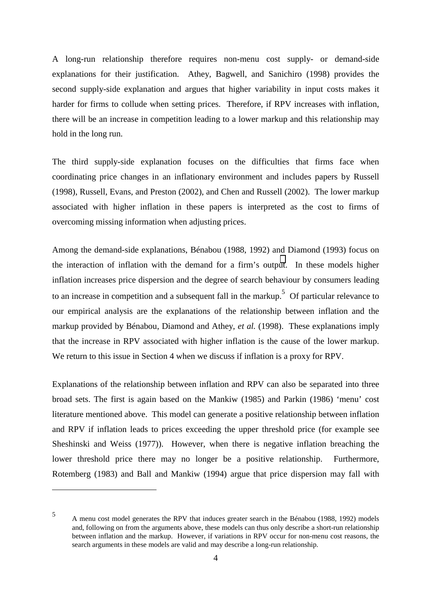A long-run relationship therefore requires non-menu cost supply- or demand-side explanations for their justification. Athey*,* Bagwell, and Sanichiro (1998) provides the second supply-side explanation and argues that higher variability in input costs makes it harder for firms to collude when setting prices. Therefore, if RPV increases with inflation, there will be an increase in competition leading to a lower markup and this relationship may hold in the long run.

The third supply-side explanation focuses on the difficulties that firms face when coordinating price changes in an inflationary environment and includes papers by Russell (1998), Russell, Evans, and Preston (2002), and Chen and Russell (2002). The lower markup associated with higher inflation in these papers is interpreted as the cost to firms of overcoming missing information when adjusting prices.

Among the demand-side explanations, Bénabou (1988, 1992) and Diamond (1993) focus on the interaction of inflation with the demand for a firm's output. In these models higher inflation increases price dispersion and the degree of search behaviour by consumers leading to an increase in competition and a subsequent fall in the markup.<sup>5</sup> Of particular relevance to our empirical analysis are the explanations of the relationship between inflation and the markup provided by Bénabou, Diamond and Athey*, et al.* (1998). These explanations imply that the increase in RPV associated with higher inflation is the cause of the lower markup. We return to this issue in Section 4 when we discuss if inflation is a proxy for RPV.

Explanations of the relationship between inflation and RPV can also be separated into three broad sets. The first is again based on the Mankiw (1985) and Parkin (1986) 'menu' cost literature mentioned above. This model can generate a positive relationship between inflation and RPV if inflation leads to prices exceeding the upper threshold price (for example see Sheshinski and Weiss (1977)). However, when there is negative inflation breaching the lower threshold price there may no longer be a positive relationship. Furthermore, Rotemberg (1983) and Ball and Mankiw (1994) argue that price dispersion may fall with

<sup>5</sup> A menu cost model generates the RPV that induces greater search in the Bénabou (1988, 1992) models and, following on from the arguments above, these models can thus only describe a short-run relationship between inflation and the markup. However, if variations in RPV occur for non-menu cost reasons, the search arguments in these models are valid and may describe a long-run relationship.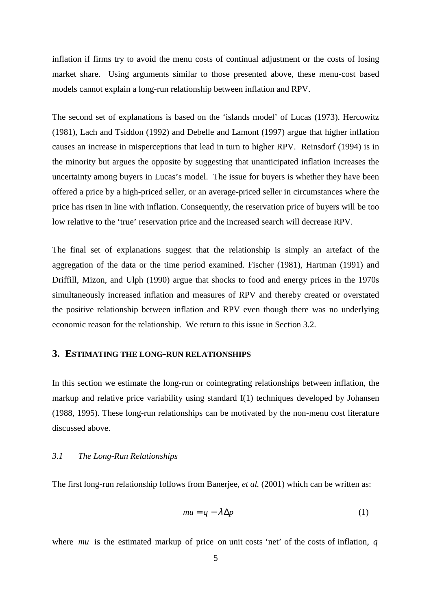<span id="page-8-0"></span>inflation if firms try to avoid the menu costs of continual adjustment or the costs of losing market share. Using arguments similar to those presented above, these menu-cost based models cannot explain a long-run relationship between inflation and RPV.

The second set of explanations is based on the 'islands model' of Lucas (1973). Hercowitz (1981), Lach and Tsiddon (1992) and Debelle and Lamont (1997) argue that higher inflation causes an increase in misperceptions that lead in turn to higher RPV. Reinsdorf (1994) is in the minority but argues the opposite by suggesting that unanticipated inflation increases the uncertainty among buyers in Lucas's model. The issue for buyers is whether they have been offered a price by a high-priced seller, or an average-priced seller in circumstances where the price has risen in line with inflation. Consequently, the reservation price of buyers will be too low relative to the 'true' reservation price and the increased search will decrease RPV.

The final set of explanations suggest that the relationship is simply an artefact of the aggregation of the data or the time period examined. Fischer (1981), Hartman (1991) and Driffill, Mizon, and Ulph (1990) argue that shocks to food and energy prices in the 1970s simultaneously increased inflation and measures of RPV and thereby created or overstated the positive relationship between inflation and RPV even though there was no underlying economic reason for the relationship. We return to this issue in Section 3.2.

# **3. ESTIMATING THE LONG-RUN RELATIONSHIPS**

In this section we estimate the long-run or cointegrating relationships between inflation, the markup and relative price variability using standard I(1) techniques developed by Johansen (1988, 1995). These long-run relationships can be motivated by the non-menu cost literature discussed above.

### *3.1 The Long-Run Relationships*

The first long-run relationship follows from Banerjee*, et al.* (2001) which can be written as:

$$
mu = q - \lambda \Delta p \tag{1}
$$

where *mu* is the estimated markup of price on unit costs 'net' of the costs of inflation, *q*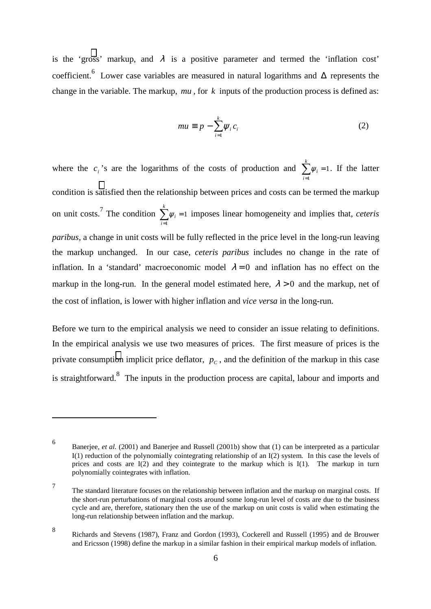is the 'gross' markup, and  $\lambda$  is a positive parameter and termed the 'inflation cost' coefficient.<sup>6</sup> Lower case variables are measured in natural logarithms and  $\Delta$  represents the change in the variable. The markup, *mu* , for *k* inputs of the production process is defined as:

$$
mu \equiv p - \sum_{i=1}^{k} \psi_i c_i \tag{2}
$$

where the  $c_i$ 's are the logarithms of the costs of production and  $\sum_{i=1}^{k} \psi_i = 1$ . If the latter 1 = *i* condition is satisfied then the relationship between prices and costs can be termed the markup on unit costs.<sup>7</sup> The condition  $\sum_{i=1}^{k} w_i = 1$  $\sum_{i=1}^n \psi_i =$ = *k i*  $\psi_i = 1$  imposes linear homogeneity and implies that, *ceteris paribus*, a change in unit costs will be fully reflected in the price level in the long-run leaving the markup unchanged. In our case, *ceteris paribus* includes no change in the rate of inflation. In a 'standard' macroeconomic model  $\lambda = 0$  and inflation has no effect on the markup in the long-run. In the general model estimated here,  $\lambda > 0$  and the markup, net of the cost of inflation, is lower with higher inflation and *vice versa* in the long-run.

Before we turn to the empirical analysis we need to consider an issue relating to definitions. In the empirical analysis we use two measures of prices. The first measure of prices is the private consumption implicit price deflator,  $p_c$ , and the definition of the markup in this case is straightforward.<sup>8</sup> The inputs in the production process are capital, labour and imports and

<sup>6</sup> Banerjee*, et al.* (2001) and Banerjee and Russell (2001b) show that (1) can be interpreted as a particular I(1) reduction of the polynomially cointegrating relationship of an I(2) system. In this case the levels of prices and costs are  $I(2)$  and they cointegrate to the markup which is  $I(1)$ . The markup in turn polynomially cointegrates with inflation.

<sup>7</sup> The standard literature focuses on the relationship between inflation and the markup on marginal costs. If the short-run perturbations of marginal costs around some long-run level of costs are due to the business cycle and are, therefore, stationary then the use of the markup on unit costs is valid when estimating the long-run relationship between inflation and the markup.

<sup>8</sup> Richards and Stevens (1987), Franz and Gordon (1993), Cockerell and Russell (1995) and de Brouwer and Ericsson (1998) define the markup in a similar fashion in their empirical markup models of inflation.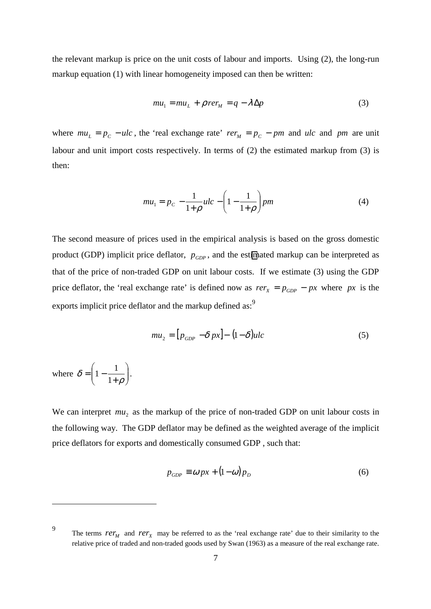the relevant markup is price on the unit costs of labour and imports. Using (2), the long-run markup equation (1) with linear homogeneity imposed can then be written:

$$
mu_1 = mu_L + \rho \, r e r_M = q - \lambda \Delta p \tag{3}
$$

where  $mu_L = p_c - ulc$ , the 'real exchange rate'  $rer_M = p_c - pm$  and  $ulc$  and pm are unit labour and unit import costs respectively. In terms of (2) the estimated markup from (3) is then:

$$
mu_1 = p_C - \frac{1}{1+\rho}ulc - \left(1 - \frac{1}{1+\rho}\right)pm
$$
 (4)

The second measure of prices used in the empirical analysis is based on the gross domestic product (GDP) implicit price deflator,  $p_{GDP}$ , and the estimated markup can be interpreted as that of the price of non-traded GDP on unit labour costs. If we estimate (3) using the GDP price deflator, the 'real exchange rate' is defined now as  $rer_x = p_{GDP} - px$  where px is the exports implicit price deflator and the markup defined as:<sup>9</sup>

$$
mu_2 = [p_{GDP} - \delta px] - (1 - \delta)ulc \tag{5}
$$

where  $\delta = \left| 1 - \frac{1}{1 + \epsilon} \right|$ - $\backslash$  $\overline{\phantom{a}}$ l ſ  $\delta = \left(1 - \frac{1}{1+\rho}\right)$ 1  $1 - \frac{1}{1}$ .

 $\overline{a}$ 

We can interpret  $mu_2$  as the markup of the price of non-traded GDP on unit labour costs in the following way. The GDP deflator may be defined as the weighted average of the implicit price deflators for exports and domestically consumed GDP , such that:

$$
p_{GDP} \equiv \omega px + (1 - \omega)p_D \tag{6}
$$

<sup>9</sup> The terms  $rer_M$  and  $rer_X$  may be referred to as the 'real exchange rate' due to their similarity to the relative price of traded and non-traded goods used by Swan (1963) as a measure of the real exchange rate.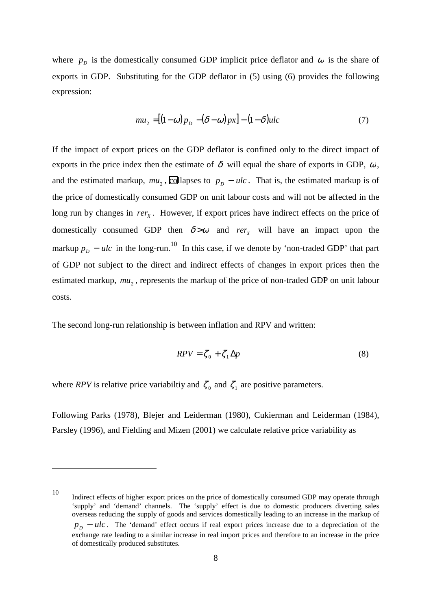where  $p<sub>D</sub>$  is the domestically consumed GDP implicit price deflator and  $\omega$  is the share of exports in GDP. Substituting for the GDP deflator in (5) using (6) provides the following expression:

$$
mu_2 = [(1 - \omega)p_D - (\delta - \omega)p_x] - (1 - \delta)ulc
$$
\n(7)

If the impact of export prices on the GDP deflator is confined only to the direct impact of exports in the price index then the estimate of  $\delta$  will equal the share of exports in GDP,  $\omega$ , and the estimated markup,  $mu_2$ , collapses to  $p_p - ulc$ . That is, the estimated markup is of the price of domestically consumed GDP on unit labour costs and will not be affected in the long run by changes in *rer<sub>x</sub>*. However, if export prices have indirect effects on the price of domestically consumed GDP then  $\delta > \omega$  and *rer*<sub>x</sub> will have an impact upon the markup  $p_p - ulc$  in the long-run.<sup>10</sup> In this case, if we denote by 'non-traded GDP' that part of GDP not subject to the direct and indirect effects of changes in export prices then the estimated markup,  $mu_2$ , represents the markup of the price of non-traded GDP on unit labour costs.

The second long-run relationship is between inflation and RPV and written:

$$
RPV = \zeta_0 + \zeta_1 \Delta p \tag{8}
$$

where *RPV* is relative price variabiltiy and  $\zeta_0$  and  $\zeta_1$  are positive parameters.

Following Parks (1978), Blejer and Leiderman (1980), Cukierman and Leiderman (1984), Parsley (1996), and Fielding and Mizen (2001) we calculate relative price variability as

<sup>10</sup> Indirect effects of higher export prices on the price of domestically consumed GDP may operate through 'supply' and 'demand' channels. The 'supply' effect is due to domestic producers diverting sales overseas reducing the supply of goods and services domestically leading to an increase in the markup of  $p_p - ulc$ . The 'demand' effect occurs if real export prices increase due to a depreciation of the exchange rate leading to a similar increase in real import prices and therefore to an increase in the price of domestically produced substitutes.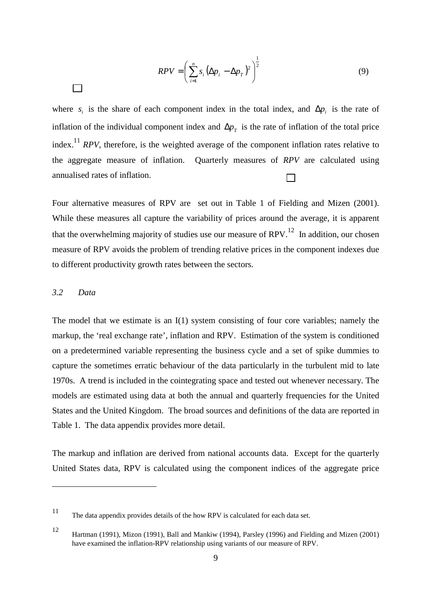$$
RPV = \left(\sum_{i=1}^{n} s_i \left(\Delta p_i - \Delta p_T\right)^2\right)^{\frac{1}{2}}
$$
\n(9)

<span id="page-12-0"></span>where  $s_i$  is the share of each component index in the total index, and  $\Delta p_i$  is the rate of inflation of the individual component index and  $\Delta p_T$  is the rate of inflation of the total price index.11 *RPV*, therefore, is the weighted average of the component inflation rates relative to the aggregate measure of inflation. Quarterly measures of *RPV* are calculated using annualised rates of inflation.

Four alternative measures of RPV are set out in Table 1 of Fielding and Mizen (2001). While these measures all capture the variability of prices around the average, it is apparent that the overwhelming majority of studies use our measure of  $RPV<sup>12</sup>$  In addition, our chosen measure of RPV avoids the problem of trending relative prices in the component indexes due to different productivity growth rates between the sectors.

### *3.2 Data*

The model that we estimate is an I(1) system consisting of four core variables; namely the markup, the 'real exchange rate', inflation and RPV. Estimation of the system is conditioned on a predetermined variable representing the business cycle and a set of spike dummies to capture the sometimes erratic behaviour of the data particularly in the turbulent mid to late 1970s. A trend is included in the cointegrating space and tested out whenever necessary. The models are estimated using data at both the annual and quarterly frequencies for the United States and the United Kingdom. The broad sources and definitions of the data are reported in Table 1. The data appendix provides more detail.

The markup and inflation are derived from national accounts data. Except for the quarterly United States data, RPV is calculated using the component indices of the aggregate price

<sup>11</sup> The data appendix provides details of the how RPV is calculated for each data set.

<sup>12</sup> Hartman (1991), Mizon (1991), Ball and Mankiw (1994), Parsley (1996) and Fielding and Mizen (2001) have examined the inflation-RPV relationship using variants of our measure of RPV.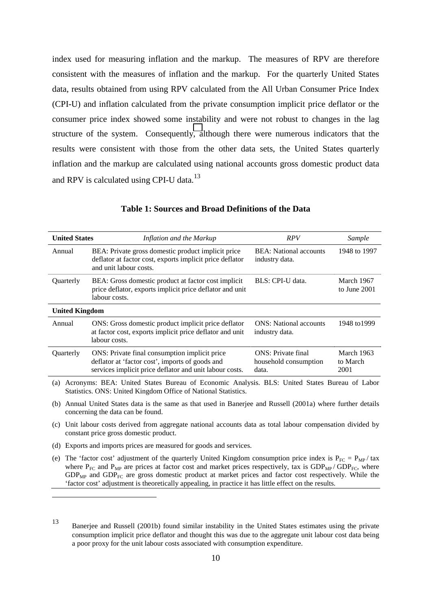index used for measuring inflation and the markup. The measures of RPV are therefore consistent with the measures of inflation and the markup. For the quarterly United States data, results obtained from using RPV calculated from the All Urban Consumer Price Index (CPI-U) and inflation calculated from the private consumption implicit price deflator or the consumer price index showed some instability and were not robust to changes in the lag structure of the system. Consequently, although there were numerous indicators that the results were consistent with those from the other data sets, the United States quarterly inflation and the markup are calculated using national accounts gross domestic product data and RPV is calculated using CPI-U data.<sup>13</sup>

| <b>United States</b>                                                                                                                                                  | Inflation and the Markup                                                                                                                                                                                                                     | RPV                                                          | Sample                         |  |  |  |  |
|-----------------------------------------------------------------------------------------------------------------------------------------------------------------------|----------------------------------------------------------------------------------------------------------------------------------------------------------------------------------------------------------------------------------------------|--------------------------------------------------------------|--------------------------------|--|--|--|--|
| BEA: Private gross domestic product implicit price<br>Annual<br>deflator at factor cost, exports implicit price deflator<br>and unit labour costs.                    |                                                                                                                                                                                                                                              | <b>BEA:</b> National accounts<br>industry data.              | 1948 to 1997                   |  |  |  |  |
| Quarterly<br>BEA: Gross domestic product at factor cost implicit<br>price deflator, exports implicit price deflator and unit<br>labour costs.                         |                                                                                                                                                                                                                                              | BLS: CPI-U data.                                             | March 1967<br>to June 2001     |  |  |  |  |
| <b>United Kingdom</b>                                                                                                                                                 |                                                                                                                                                                                                                                              |                                                              |                                |  |  |  |  |
| ONS: Gross domestic product implicit price deflator<br>Annual<br>at factor cost, exports implicit price deflator and unit<br>labour costs.                            |                                                                                                                                                                                                                                              | <b>ONS</b> : National accounts<br>industry data.             | 1948 to 1999                   |  |  |  |  |
| <b>Ouarterly</b>                                                                                                                                                      | ONS: Private final consumption implicit price<br>deflator at 'factor cost', imports of goods and<br>services implicit price deflator and unit labour costs.                                                                                  | <b>ONS</b> : Private final<br>household consumption<br>data. | March 1963<br>to March<br>2001 |  |  |  |  |
| Acronyms: BEA: United States Bureau of Economic Analysis. BLS: United States Bureau of Labor<br>(a)<br>Statistics. ONS: United Kingdom Office of National Statistics. |                                                                                                                                                                                                                                              |                                                              |                                |  |  |  |  |
| (b)                                                                                                                                                                   | Annual United States data is the same as that used in Banerjee and Russell (2001a) where further details<br>concerning the data can be found.                                                                                                |                                                              |                                |  |  |  |  |
| Unit labour costs derived from aggregate national accounts data as total labour compensation divided by<br>(c)<br>constant price gross domestic product.              |                                                                                                                                                                                                                                              |                                                              |                                |  |  |  |  |
| (d)                                                                                                                                                                   | Exports and imports prices are measured for goods and services.                                                                                                                                                                              |                                                              |                                |  |  |  |  |
| (e)                                                                                                                                                                   | The 'factor cost' adjustment of the quarterly United Kingdom consumption price index is $P_{FC} = P_{MP}/\tan x$<br>where $P_{FC}$ and $P_{MP}$ are prices at factor cost and market prices respectively, tax is $GDP_{MP}/GDP_{FC}$ , where |                                                              |                                |  |  |  |  |

### **Table 1: Sources and Broad Definitions of the Data**

'factor cost' adjustment is theoretically appealing, in practice it has little effect on the results.

 $GDP<sub>MP</sub>$  and  $GDP<sub>FC</sub>$  are gross domestic product at market prices and factor cost respectively. While the

 $\overline{a}$ 

<sup>13</sup> Banerjee and Russell (2001b) found similar instability in the United States estimates using the private consumption implicit price deflator and thought this was due to the aggregate unit labour cost data being a poor proxy for the unit labour costs associated with consumption expenditure.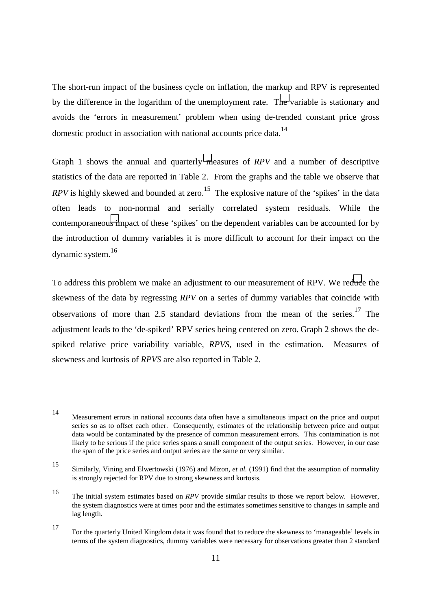The short-run impact of the business cycle on inflation, the markup and RPV is represented by the difference in the logarithm of the unemployment rate. The variable is stationary and avoids the 'errors in measurement' problem when using de-trended constant price gross domestic product in association with national accounts price data.<sup>14</sup>

Graph 1 shows the annual and quarterly measures of *RPV* and a number of descriptive statistics of the data are reported in Table 2. From the graphs and the table we observe that *RPV* is highly skewed and bounded at zero.<sup>15</sup> The explosive nature of the 'spikes' in the data often leads to non-normal and serially correlated system residuals. While the contemporaneous impact of these 'spikes' on the dependent variables can be accounted for by the introduction of dummy variables it is more difficult to account for their impact on the dynamic system.<sup>16</sup>

To address this problem we make an adjustment to our measurement of RPV. We reduce the skewness of the data by regressing *RPV* on a series of dummy variables that coincide with observations of more than 2.5 standard deviations from the mean of the series.<sup>17</sup> The adjustment leads to the 'de-spiked' RPV series being centered on zero. Graph 2 shows the despiked relative price variability variable, *RPVS*, used in the estimation. Measures of skewness and kurtosis of *RPVS* are also reported in Table 2.

<sup>14</sup> Measurement errors in national accounts data often have a simultaneous impact on the price and output series so as to offset each other. Consequently, estimates of the relationship between price and output data would be contaminated by the presence of common measurement errors. This contamination is not likely to be serious if the price series spans a small component of the output series. However, in our case the span of the price series and output series are the same or very similar.

<sup>15</sup> Similarly, Vining and Elwertowski (1976) and Mizon*, et al.* (1991) find that the assumption of normality is strongly rejected for RPV due to strong skewness and kurtosis.

<sup>16</sup> The initial system estimates based on *RPV* provide similar results to those we report below. However, the system diagnostics were at times poor and the estimates sometimes sensitive to changes in sample and lag length.

<sup>17</sup> For the quarterly United Kingdom data it was found that to reduce the skewness to 'manageable' levels in terms of the system diagnostics, dummy variables were necessary for observations greater than 2 standard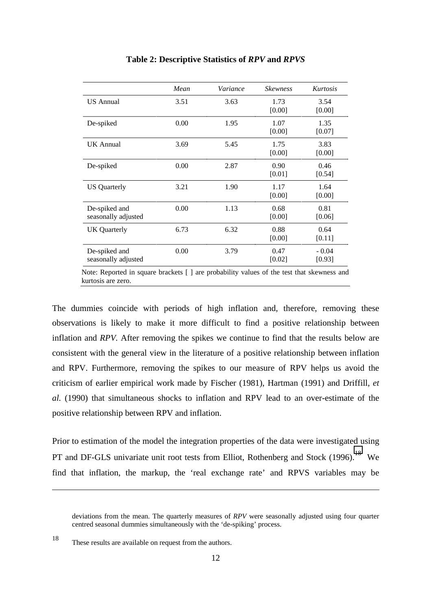|                                      | Mean | Variance | <b>Skewness</b> | Kurtosis          |
|--------------------------------------|------|----------|-----------------|-------------------|
| <b>US</b> Annual                     | 3.51 | 3.63     | 1.73<br>[0.00]  | 3.54<br>[0.00]    |
| De-spiked                            | 0.00 | 1.95     | 1.07<br>[0.00]  | 1.35<br>[0.07]    |
| UK Annual                            | 3.69 | 5.45     | 1.75<br>[0.00]  | 3.83<br>[0.00]    |
| De-spiked                            | 0.00 | 2.87     | 0.90<br>[0.01]  | 0.46<br>[0.54]    |
| <b>US</b> Quarterly                  | 3.21 | 1.90     | 1.17<br>[0.00]  | 1.64<br>[0.00]    |
| De-spiked and<br>seasonally adjusted | 0.00 | 1.13     | 0.68<br>[0.00]  | 0.81<br>[0.06]    |
| UK Quarterly                         | 6.73 | 6.32     | 0.88<br>[0.00]  | 0.64<br>[0.11]    |
| De-spiked and<br>seasonally adjusted | 0.00 | 3.79     | 0.47<br>[0.02]  | $-0.04$<br>[0.93] |

### **Table 2: Descriptive Statistics of** *RPV* **and** *RPVS*

Note: Reported in square brackets [ ] are probability values of the test that skewness and kurtosis are zero.

The dummies coincide with periods of high inflation and, therefore, removing these observations is likely to make it more difficult to find a positive relationship between inflation and *RPV.* After removing the spikes we continue to find that the results below are consistent with the general view in the literature of a positive relationship between inflation and RPV. Furthermore, removing the spikes to our measure of RPV helps us avoid the criticism of earlier empirical work made by Fischer (1981), Hartman (1991) and Driffill*, et al.* (1990) that simultaneous shocks to inflation and RPV lead to an over-estimate of the positive relationship between RPV and inflation.

Prior to estimation of the model the integration properties of the data were investigated using PT and DF-GLS univariate unit root tests from Elliot, Rothenberg and Stock (1996).<sup>18</sup> We find that inflation, the markup, the 'real exchange rate' and RPVS variables may be

deviations from the mean. The quarterly measures of *RPV* were seasonally adjusted using four quarter centred seasonal dummies simultaneously with the 'de-spiking' process.

<sup>18</sup> These results are available on request from the authors.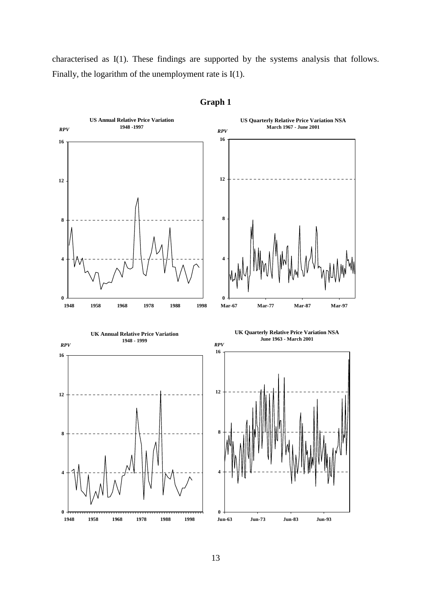characterised as I(1). These findings are supported by the systems analysis that follows. Finally, the logarithm of the unemployment rate is I(1).



# **Graph 1**

13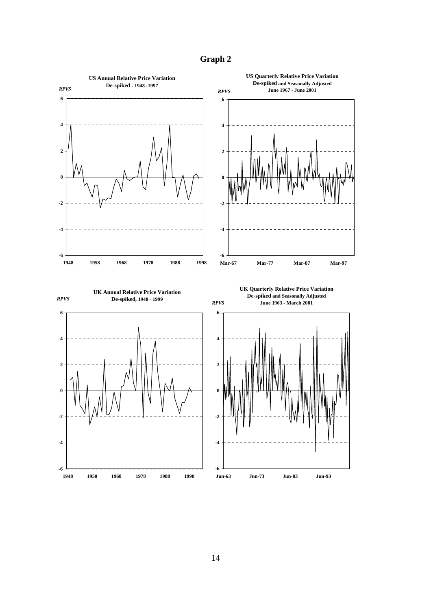**Graph 2**

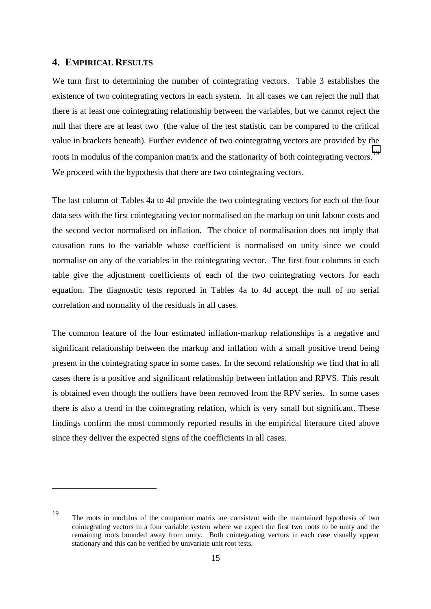# <span id="page-18-0"></span>**4. EMPIRICAL RESULTS**

 $\overline{a}$ 

We turn first to determining the number of cointegrating vectors. Table 3 establishes the existence of two cointegrating vectors in each system. In all cases we can reject the null that there is at least one cointegrating relationship between the variables, but we cannot reject the null that there are at least two (the value of the test statistic can be compared to the critical value in brackets beneath). Further evidence of two cointegrating vectors are provided by the roots in modulus of the companion matrix and the stationarity of both cointegrating vectors.<sup>19</sup> We proceed with the hypothesis that there are two cointegrating vectors.

The last column of Tables 4a to 4d provide the two cointegrating vectors for each of the four data sets with the first cointegrating vector normalised on the markup on unit labour costs and the second vector normalised on inflation. The choice of normalisation does not imply that causation runs to the variable whose coefficient is normalised on unity since we could normalise on any of the variables in the cointegrating vector. The first four columns in each table give the adjustment coefficients of each of the two cointegrating vectors for each equation. The diagnostic tests reported in Tables 4a to 4d accept the null of no serial correlation and normality of the residuals in all cases.

The common feature of the four estimated inflation-markup relationships is a negative and significant relationship between the markup and inflation with a small positive trend being present in the cointegrating space in some cases. In the second relationship we find that in all cases there is a positive and significant relationship between inflation and RPVS. This result is obtained even though the outliers have been removed from the RPV series. In some cases there is also a trend in the cointegrating relation, which is very small but significant. These findings confirm the most commonly reported results in the empirical literature cited above since they deliver the expected signs of the coefficients in all cases.

<sup>19</sup> The roots in modulus of the companion matrix are consistent with the maintained hypothesis of two cointegrating vectors in a four variable system where we expect the first two roots to be unity and the remaining roots bounded away from unity. Both cointegrating vectors in each case visually appear stationary and this can be verified by univariate unit root tests.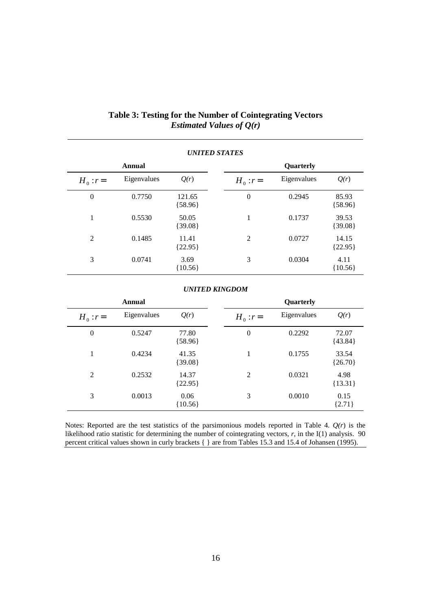| <b>UNITED STATES</b> |             |                     |              |             |                    |  |
|----------------------|-------------|---------------------|--------------|-------------|--------------------|--|
|                      | Annual      |                     |              | Quarterly   |                    |  |
| $H_0$ : $r=$         | Eigenvalues | Q(r)                | $H_0$ : $r=$ | Eigenvalues | Q(r)               |  |
| $\boldsymbol{0}$     | 0.7750      | 121.65<br>${58.96}$ | $\theta$     | 0.2945      | 85.93<br>${58.96}$ |  |
| 1                    | 0.5530      | 50.05<br>${39.08}$  | 1            | 0.1737      | 39.53<br>${39.08}$ |  |
| 2                    | 0.1485      | 11.41<br>${22.95}$  | 2            | 0.0727      | 14.15<br>${22.95}$ |  |
| 3                    | 0.0741      | 3.69<br>${10.56}$   | 3            | 0.0304      | 4.11<br>${10.56}$  |  |

# **Table 3: Testing for the Number of Cointegrating Vectors** *Estimated Values of Q(r)*

### *UNITED KINGDOM*

| Annual           |             |                    |  |                  | Quarterly   |                    |
|------------------|-------------|--------------------|--|------------------|-------------|--------------------|
| $H_0$ : $r =$    | Eigenvalues | Q(r)               |  | $H_0$ : $r=$     | Eigenvalues | Q(r)               |
| $\boldsymbol{0}$ | 0.5247      | 77.80<br>${58.96}$ |  | $\boldsymbol{0}$ | 0.2292      | 72.07<br>${43.84}$ |
| 1                | 0.4234      | 41.35<br>${39.08}$ |  | 1                | 0.1755      | 33.54<br>${26.70}$ |
| 2                | 0.2532      | 14.37<br>${22.95}$ |  | 2                | 0.0321      | 4.98<br>${13.31}$  |
| 3                | 0.0013      | 0.06<br>${10.56}$  |  | 3                | 0.0010      | 0.15<br>${2.71}$   |

Notes: Reported are the test statistics of the parsimonious models reported in Table 4. *Q(r*) is the likelihood ratio statistic for determining the number of cointegrating vectors, *r*, in the I(1) analysis. 90 percent critical values shown in curly brackets { } are from Tables 15.3 and 15.4 of Johansen (1995).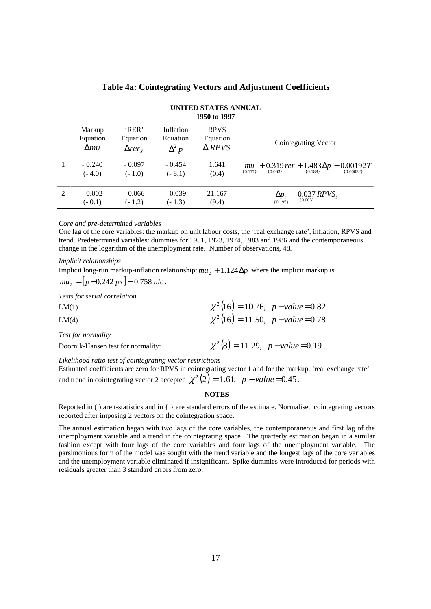|                             | UNITED STATES ANNUAL<br>1950 to 1997 |                                                 |                                       |                                             |                                                                                                     |  |  |  |
|-----------------------------|--------------------------------------|-------------------------------------------------|---------------------------------------|---------------------------------------------|-----------------------------------------------------------------------------------------------------|--|--|--|
|                             | Markup<br>Equation<br>$\Delta mu$    | 'RER'<br>Equation<br>$\Delta r$ er <sub>x</sub> | Inflation<br>Equation<br>$\Delta^2 p$ | <b>RPVS</b><br>Equation<br>$\triangle$ RPVS | Cointegrating Vector                                                                                |  |  |  |
|                             | $-0.240$<br>$(-4.0)$                 | $-0.097$<br>$(-1.0)$                            | $-0.454$<br>$(-8.1)$                  | 1.641<br>(0.4)                              | $mu + 0.319$ rer + $1.483\Delta p - 0.00192T$<br>${0.188}$<br>${0.00032}$<br>${0.063}$<br>${0.171}$ |  |  |  |
| $\mathcal{D}_{\mathcal{L}}$ | $-0.002$<br>$(-0.1)$                 | $-0.066$<br>$(-1.2)$                            | $-0.039$<br>$(-1.3)$                  | 21.167<br>(9.4)                             | $\Delta p_t = 0.037 RPVS_t$<br>${0.195}$                                                            |  |  |  |

**Table 4a: Cointegrating Vectors and Adjustment Coefficients**

#### *Core and pre-determined variables*

One lag of the core variables: the markup on unit labour costs, the 'real exchange rate', inflation, RPVS and trend. Predetermined variables: dummies for 1951, 1973, 1974, 1983 and 1986 and the contemporaneous change in the logarithm of the unemployment rate. Number of observations, 48.

*Implicit relationships*

Implicit long-run markup-inflation relationship:  $mu_2 + 1.124\Delta p$  where the implicit markup is  $mu_2 = [p - 0.242 \, px] - 0.758 \, uc.$ 

*Tests for serial correlation*

| LM(1)                              | $\chi^2(16) = 10.76$ , p - value = 0.82 |
|------------------------------------|-----------------------------------------|
| LM(4)                              | $\chi^2(16) = 11.50$ , $p-value = 0.78$ |
| Test for normality                 |                                         |
| Doornik-Hansen test for normality: | $\chi^2(8) = 11.29$ , p - value = 0.19  |
|                                    |                                         |

*Likelihood ratio test of cointegrating vector restrictions*

Estimated coefficients are zero for RPVS in cointegrating vector 1 and for the markup, 'real exchange rate' and trend in cointegrating vector 2 accepted  $\chi^2(2) = 1.61$ ,  $p - value = 0.45$ .

#### **NOTES**

Reported in ( ) are t-statistics and in { } are standard errors of the estimate. Normalised cointegrating vectors reported after imposing 2 vectors on the cointegration space.

The annual estimation began with two lags of the core variables, the contemporaneous and first lag of the unemployment variable and a trend in the cointegrating space. The quarterly estimation began in a similar fashion except with four lags of the core variables and four lags of the unemployment variable. The parsimonious form of the model was sought with the trend variable and the longest lags of the core variables and the unemployment variable eliminated if insignificant. Spike dummies were introduced for periods with residuals greater than 3 standard errors from zero.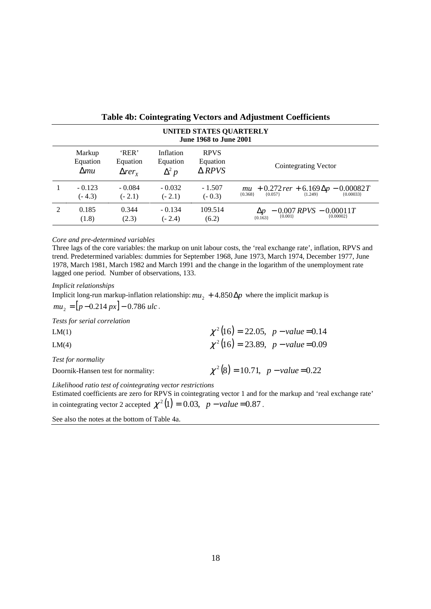|                                                                                                                                                                                                      | UNITED STATES QUARTERLY<br><b>June 1968 to June 2001</b> |                      |                      |                      |                                                                                  |  |  |  |
|------------------------------------------------------------------------------------------------------------------------------------------------------------------------------------------------------|----------------------------------------------------------|----------------------|----------------------|----------------------|----------------------------------------------------------------------------------|--|--|--|
| <b>RPVS</b><br>'RER'<br>Markup<br>Inflation<br>Equation<br>Equation<br>Equation<br>Equation<br>Cointegrating Vector<br>$\triangle$ RPVS<br>$\Delta^2 p$<br>$\Delta mu$<br>$\Delta r$ er <sub>x</sub> |                                                          |                      |                      |                      |                                                                                  |  |  |  |
|                                                                                                                                                                                                      | $-0.123$<br>$(-4.3)$                                     | $-0.084$<br>$(-2.1)$ | $-0.032$<br>$(-2.1)$ | $-1.507$<br>$(-0.3)$ | $m u$ + 0.272 rer + 6.169 $\Delta p$ – 0.00082 T<br>${0.368}$                    |  |  |  |
| $\mathfrak{D}$                                                                                                                                                                                       | 0.185<br>(1.8)                                           | 0.344<br>(2.3)       | $-0.134$<br>$(-2.4)$ | 109.514<br>(6.2)     | $-0.007$ RPVS $-0.00011T$<br>$\Delta p$<br>${0.001}$<br>${0.00002}$<br>${0.163}$ |  |  |  |

### **Table 4b: Cointegrating Vectors and Adjustment Coefficients**

#### *Core and pre-determined variables*

Three lags of the core variables: the markup on unit labour costs, the 'real exchange rate', inflation, RPVS and trend. Predetermined variables: dummies for September 1968, June 1973, March 1974, December 1977, June 1978, March 1981, March 1982 and March 1991 and the change in the logarithm of the unemployment rate lagged one period. Number of observations, 133.

*Implicit relationships*

Implicit long-run markup-inflation relationship:  $mu_2 + 4.850\Delta p$  where the implicit markup is  $mu_2 = [p - 0.214 \, px] - 0.786 \, ulc$ .

*Tests for serial correlation*

| LM(1)                                                      | $\chi^2(16) = 22.05$ , $p-value = 0.14$ |
|------------------------------------------------------------|-----------------------------------------|
| LM(4)                                                      | $\chi^2(16) = 23.89$ , $p-value = 0.09$ |
| Test for normality                                         |                                         |
| Doornik-Hansen test for normality:                         | $\chi^2(8) = 10.71$ , p - value = 0.22  |
| Likelihood ratio test of cointegrating vector restrictions |                                         |

Estimated coefficients are zero for RPVS in cointegrating vector 1 and for the markup and 'real exchange rate' in cointegrating vector 2 accepted  $\chi^2(1) = 0.03$ ,  $p-value = 0.87$ .

See also the notes at the bottom of Table 4a.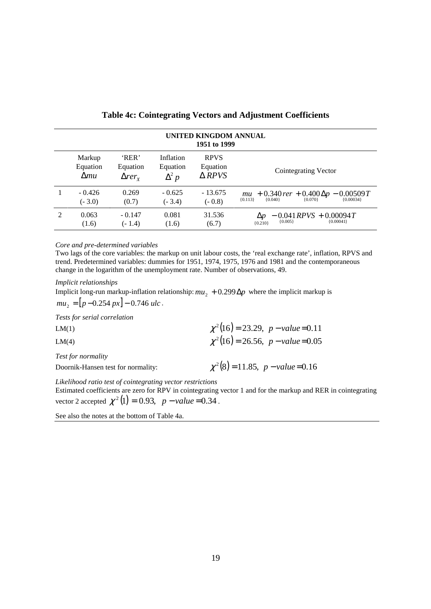|               | UNITED KINGDOM ANNUAL<br>1951 to 1999 |                                             |                                       |                                             |                                                                                             |  |  |  |
|---------------|---------------------------------------|---------------------------------------------|---------------------------------------|---------------------------------------------|---------------------------------------------------------------------------------------------|--|--|--|
|               | Markup<br>Equation<br>$\Delta mu$     | 'RER'<br>Equation<br>$\Delta r e r_{\rm y}$ | Inflation<br>Equation<br>$\Delta^2 p$ | <b>RPVS</b><br>Equation<br>$\triangle$ RPVS | Cointegrating Vector                                                                        |  |  |  |
|               | $-0.426$<br>$(-3.0)$                  | 0.269<br>(0.7)                              | $-0.625$<br>$(-3.4)$                  | $-13.675$<br>$(-0.8)$                       | $m u$ + 0.340 rer + 0.400 $\Delta p$ – 0.00509 T<br>[0.013] $\frac{1}{10.040}$<br>${0.113}$ |  |  |  |
| $\mathcal{D}$ | 0.063<br>(1.6)                        | $-0.147$<br>$(-1.4)$                        | 0.081<br>(1.6)                        | 31.536<br>(6.7)                             | $-0.041$ RPVS + 0.00094T<br>$\Delta p$<br>${0.005}$<br>${0.00041}$<br>${0.210}$             |  |  |  |

### **Table 4c: Cointegrating Vectors and Adjustment Coefficients**

*Core and pre-determined variables*

Two lags of the core variables: the markup on unit labour costs, the 'real exchange rate', inflation, RPVS and trend. Predetermined variables: dummies for 1951, 1974, 1975, 1976 and 1981 and the contemporaneous change in the logarithm of the unemployment rate. Number of observations, 49.

*Implicit relationships*

Implicit long-run markup-inflation relationship:  $mu_2 + 0.299 \Delta p$  where the implicit markup is

 $mu_2 = [p - 0.254 px] - 0.746 ulc$ .

*Tests for serial correlation*

| LM(1)                              | $\chi^2(16) = 23.29$ , p - value=0.11 |
|------------------------------------|---------------------------------------|
| LM(4)                              | $\chi^2(16) = 26.56$ , p - value=0.05 |
| Test for normality                 |                                       |
| Doornik-Hansen test for normality: | $\chi^2(8) = 11.85$ , p - value=0.16  |

*Likelihood ratio test of cointegrating vector restrictions*

Estimated coefficients are zero for RPV in cointegrating vector 1 and for the markup and RER in cointegrating vector 2 accepted  $\chi^2(1) = 0.93$ ,  $p - value = 0.34$ .

See also the notes at the bottom of Table 4a.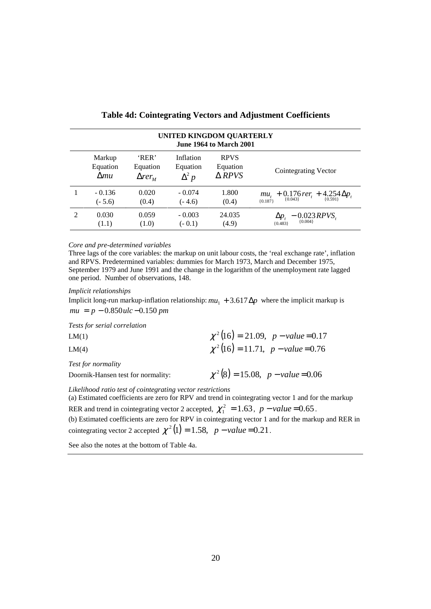|                                                                                                                                                                                                  | UNITED KINGDOM QUARTERLY<br><b>June 1964 to March 2001</b> |                |                      |                 |                                                                   |  |  |  |
|--------------------------------------------------------------------------------------------------------------------------------------------------------------------------------------------------|------------------------------------------------------------|----------------|----------------------|-----------------|-------------------------------------------------------------------|--|--|--|
| 'RER'<br>Inflation<br><b>RPVS</b><br>Markup<br>Equation<br>Equation<br>Equation<br>Equation<br>Cointegrating Vector<br>$\triangle$ RPVS<br>$\Delta^2 p$<br>$\Delta mu$<br>$\Delta r e r_{\rm M}$ |                                                            |                |                      |                 |                                                                   |  |  |  |
|                                                                                                                                                                                                  | $-0.136$<br>$(-5.6)$                                       | 0.020<br>(0.4) | $-0.074$<br>$(-4.6)$ | 1.800<br>(0.4)  | $mu_t$ + 0.176 rer <sub>t</sub> + 4.254 $\Delta p_t$<br>${0.187}$ |  |  |  |
| $\mathcal{L}$                                                                                                                                                                                    | 0.030<br>(1.1)                                             | 0.059<br>(1.0) | $-0.003$<br>$(-0.1)$ | 24.035<br>(4.9) | $-$ 0.023 RPVS,<br>$\Delta p$ ,<br>${0.483}$                      |  |  |  |

### **Table 4d: Cointegrating Vectors and Adjustment Coefficients**

#### *Core and pre-determined variables*

Three lags of the core variables: the markup on unit labour costs, the 'real exchange rate', inflation and RPVS. Predetermined variables: dummies for March 1973, March and December 1975, September 1979 and June 1991 and the change in the logarithm of the unemployment rate lagged one period. Number of observations, 148.

*Implicit relationships*

Implicit long-run markup-inflation relationship:  $mu_1 + 3.617 \Delta p$  where the implicit markup is *mu* = *p* − 0.850*ulc* −0.150 *pm*

*Tests for serial correlation*

| LM(1)                                                    | $\chi^2(16) = 21.09$ , $p-value = 0.17$ |
|----------------------------------------------------------|-----------------------------------------|
| LM(4)                                                    | $\chi^2(16) = 11.71$ , p – value = 0.76 |
| Test for normality<br>Doornik-Hansen test for normality: | $\chi^2(8) = 15.08$ , p - value = 0.06  |

*Likelihood ratio test of cointegrating vector restrictions*

(a) Estimated coefficients are zero for RPV and trend in cointegrating vector 1 and for the markup RER and trend in cointegrating vector 2 accepted,  $\chi_1^2 = 1.63$ ,  $p - value = 0.65$ .

(b) Estimated coefficients are zero for RPV in cointegrating vector 1 and for the markup and RER in cointegrating vector 2 accepted  $\chi^2$  (1) = 1.58, p – *value* = 0.21.

See also the notes at the bottom of Table 4a.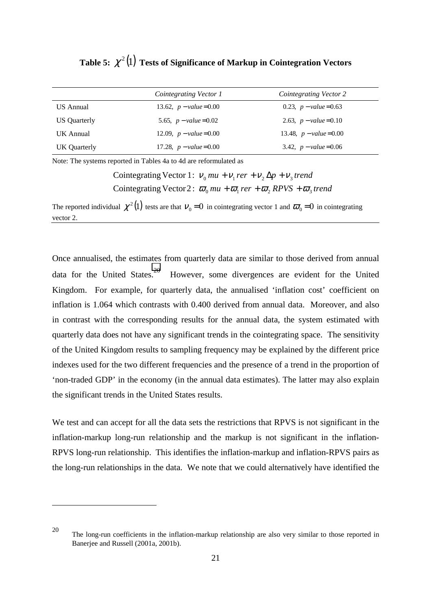|              | Cointegrating Vector 1  | Cointegrating Vector 2  |
|--------------|-------------------------|-------------------------|
| US Annual    | 13.62, $p-value = 0.00$ | 0.23, $p-value = 0.63$  |
| US Quarterly | 5.65, $p-value=0.02$    | 2.63, $p-value = 0.10$  |
| UK Annual    | 12.09, $p-value = 0.00$ | 13.48, $p-value = 0.00$ |
| UK Quarterly | 17.28, $p-value=0.00$   | 3.42, $p-value=0.06$    |

**Table 5:**  $\chi^2(1)$  Tests of Significance of Markup in Cointegration Vectors

Note: The systems reported in Tables 4a to 4d are reformulated as

 $\overline{a}$ 

Cointegrating Vector 2:  $\bar{\omega}_0$  mu +  $\bar{\omega}_1$  rer +  $\bar{\omega}_2$  RPVS +  $\bar{\omega}_3$  trend Cointegrating Vector 1:  $v_0$  *mu* +  $v_1$  *rer* +  $v_2$   $\Delta p$  +  $v_3$  *trend* 

The reported individual  $\chi^2(1)$  tests are that  $v_0 = 0$  in cointegrating vector 1 and  $\omega_0 = 0$  in cointegrating vector 2.

Once annualised, the estimates from quarterly data are similar to those derived from annual data for the United States.<sup>20</sup> However, some divergences are evident for the United Kingdom. For example, for quarterly data, the annualised 'inflation cost' coefficient on inflation is 1.064 which contrasts with 0.400 derived from annual data. Moreover, and also in contrast with the corresponding results for the annual data, the system estimated with quarterly data does not have any significant trends in the cointegrating space. The sensitivity of the United Kingdom results to sampling frequency may be explained by the different price indexes used for the two different frequencies and the presence of a trend in the proportion of 'non-traded GDP' in the economy (in the annual data estimates). The latter may also explain the significant trends in the United States results.

We test and can accept for all the data sets the restrictions that RPVS is not significant in the inflation-markup long-run relationship and the markup is not significant in the inflation-RPVS long-run relationship. This identifies the inflation-markup and inflation-RPVS pairs as the long-run relationships in the data. We note that we could alternatively have identified the

<sup>20</sup> The long-run coefficients in the inflation-markup relationship are also very similar to those reported in Banerjee and Russell (2001a, 2001b).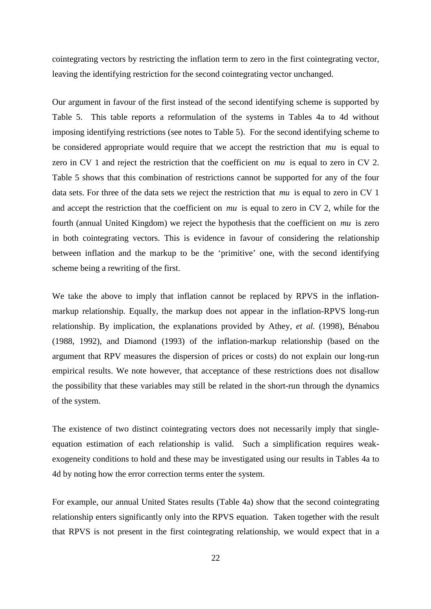cointegrating vectors by restricting the inflation term to zero in the first cointegrating vector, leaving the identifying restriction for the second cointegrating vector unchanged.

Our argument in favour of the first instead of the second identifying scheme is supported by Table 5. This table reports a reformulation of the systems in Tables 4a to 4d without imposing identifying restrictions (see notes to Table 5). For the second identifying scheme to be considered appropriate would require that we accept the restriction that *mu* is equal to zero in CV 1 and reject the restriction that the coefficient on *mu* is equal to zero in CV 2. Table 5 shows that this combination of restrictions cannot be supported for any of the four data sets. For three of the data sets we reject the restriction that *mu* is equal to zero in CV 1 and accept the restriction that the coefficient on *mu* is equal to zero in CV 2, while for the fourth (annual United Kingdom) we reject the hypothesis that the coefficient on *mu* is zero in both cointegrating vectors. This is evidence in favour of considering the relationship between inflation and the markup to be the 'primitive' one, with the second identifying scheme being a rewriting of the first.

We take the above to imply that inflation cannot be replaced by RPVS in the inflationmarkup relationship. Equally, the markup does not appear in the inflation-RPVS long-run relationship. By implication, the explanations provided by Athey*, et al.* (1998), Bénabou (1988, 1992), and Diamond (1993) of the inflation-markup relationship (based on the argument that RPV measures the dispersion of prices or costs) do not explain our long-run empirical results. We note however, that acceptance of these restrictions does not disallow the possibility that these variables may still be related in the short-run through the dynamics of the system.

The existence of two distinct cointegrating vectors does not necessarily imply that singleequation estimation of each relationship is valid. Such a simplification requires weakexogeneity conditions to hold and these may be investigated using our results in Tables 4a to 4d by noting how the error correction terms enter the system.

For example, our annual United States results (Table 4a) show that the second cointegrating relationship enters significantly only into the RPVS equation. Taken together with the result that RPVS is not present in the first cointegrating relationship, we would expect that in a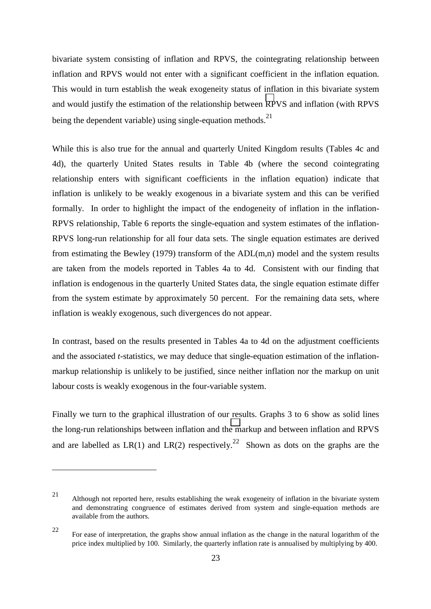bivariate system consisting of inflation and RPVS, the cointegrating relationship between inflation and RPVS would not enter with a significant coefficient in the inflation equation. This would in turn establish the weak exogeneity status of inflation in this bivariate system and would justify the estimation of the relationship between RPVS and inflation (with RPVS being the dependent variable) using single-equation methods.<sup>21</sup>

While this is also true for the annual and quarterly United Kingdom results (Tables 4c and 4d), the quarterly United States results in Table 4b (where the second cointegrating relationship enters with significant coefficients in the inflation equation) indicate that inflation is unlikely to be weakly exogenous in a bivariate system and this can be verified formally. In order to highlight the impact of the endogeneity of inflation in the inflation-RPVS relationship, Table 6 reports the single-equation and system estimates of the inflation-RPVS long-run relationship for all four data sets. The single equation estimates are derived from estimating the Bewley (1979) transform of the  $ADL(m,n)$  model and the system results are taken from the models reported in Tables 4a to 4d. Consistent with our finding that inflation is endogenous in the quarterly United States data, the single equation estimate differ from the system estimate by approximately 50 percent. For the remaining data sets, where inflation is weakly exogenous, such divergences do not appear.

In contrast, based on the results presented in Tables 4a to 4d on the adjustment coefficients and the associated *t-*statistics, we may deduce that single-equation estimation of the inflationmarkup relationship is unlikely to be justified, since neither inflation nor the markup on unit labour costs is weakly exogenous in the four-variable system.

Finally we turn to the graphical illustration of our results. Graphs 3 to 6 show as solid lines the long-run relationships between inflation and the markup and between inflation and RPVS and are labelled as LR(1) and LR(2) respectively.<sup>22</sup> Shown as dots on the graphs are the

<sup>21</sup> Although not reported here, results establishing the weak exogeneity of inflation in the bivariate system and demonstrating congruence of estimates derived from system and single-equation methods are available from the authors.

<sup>22</sup> For ease of interpretation, the graphs show annual inflation as the change in the natural logarithm of the price index multiplied by 100. Similarly, the quarterly inflation rate is annualised by multiplying by 400.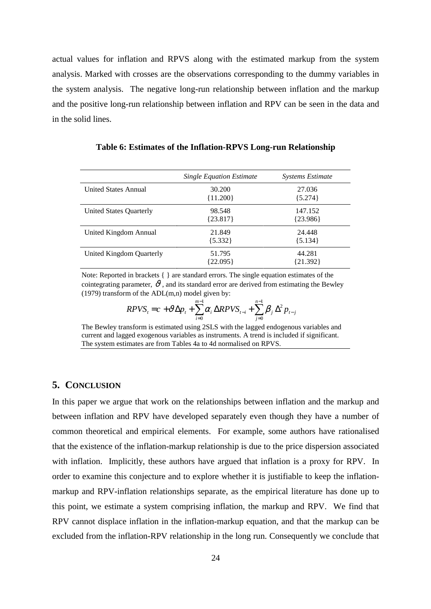<span id="page-27-0"></span>actual values for inflation and RPVS along with the estimated markup from the system analysis. Marked with crosses are the observations corresponding to the dummy variables in the system analysis. The negative long-run relationship between inflation and the markup and the positive long-run relationship between inflation and RPV can be seen in the data and in the solid lines.

|                             | <b>Single Equation Estimate</b> | <i>Systems Estimate</i> |
|-----------------------------|---------------------------------|-------------------------|
| <b>United States Annual</b> | 30.200<br>${11.200}$            | 27.036<br>${5.274}$     |
| United States Quarterly     | 98.548<br>${23.817}$            | 147.152<br>${23.986}$   |
| United Kingdom Annual       | 21.849<br>$\{5.332\}$           | 24.448<br>$\{5.134\}$   |
| United Kingdom Quarterly    | 51.795<br>{22.095}              | 44.281<br>{21.392}      |

**Table 6: Estimates of the Inflation-RPVS Long-run Relationship**

Note: Reported in brackets  $\{\}$  are standard errors. The single equation estimates of the cointegrating parameter,  $\vartheta$ , and its standard error are derived from estimating the Bewley (1979) transform of the  $ADL(m,n)$  model given by:

$$
RPVS_{t} = c + \vartheta \Delta p_{t} + \sum_{i=0}^{m-1} \alpha_{i} \Delta RPVS_{t-i} + \sum_{j=0}^{n-1} \beta_{j} \Delta^{2} p_{t-j}
$$

The Bewley transform is estimated using 2SLS with the lagged endogenous variables and current and lagged exogenous variables as instruments. A trend is included if significant. The system estimates are from Tables 4a to 4d normalised on RPVS.

### **5. CONCLUSION**

In this paper we argue that work on the relationships between inflation and the markup and between inflation and RPV have developed separately even though they have a number of common theoretical and empirical elements. For example, some authors have rationalised that the existence of the inflation-markup relationship is due to the price dispersion associated with inflation. Implicitly, these authors have argued that inflation is a proxy for RPV. In order to examine this conjecture and to explore whether it is justifiable to keep the inflationmarkup and RPV-inflation relationships separate, as the empirical literature has done up to this point, we estimate a system comprising inflation, the markup and RPV. We find that RPV cannot displace inflation in the inflation-markup equation, and that the markup can be excluded from the inflation-RPV relationship in the long run. Consequently we conclude that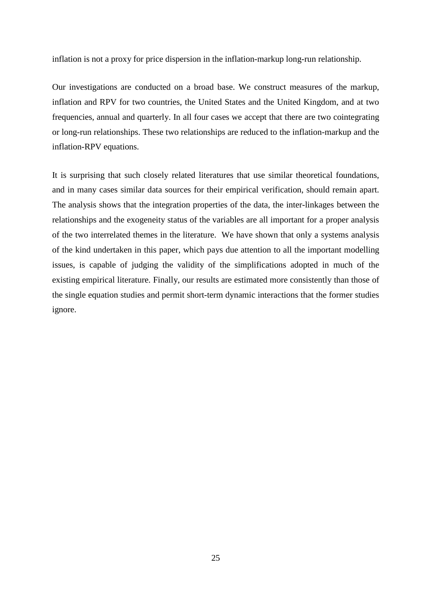inflation is not a proxy for price dispersion in the inflation-markup long-run relationship.

Our investigations are conducted on a broad base. We construct measures of the markup, inflation and RPV for two countries, the United States and the United Kingdom, and at two frequencies, annual and quarterly. In all four cases we accept that there are two cointegrating or long-run relationships. These two relationships are reduced to the inflation-markup and the inflation-RPV equations.

It is surprising that such closely related literatures that use similar theoretical foundations, and in many cases similar data sources for their empirical verification, should remain apart. The analysis shows that the integration properties of the data, the inter-linkages between the relationships and the exogeneity status of the variables are all important for a proper analysis of the two interrelated themes in the literature. We have shown that only a systems analysis of the kind undertaken in this paper, which pays due attention to all the important modelling issues, is capable of judging the validity of the simplifications adopted in much of the existing empirical literature. Finally, our results are estimated more consistently than those of the single equation studies and permit short-term dynamic interactions that the former studies ignore.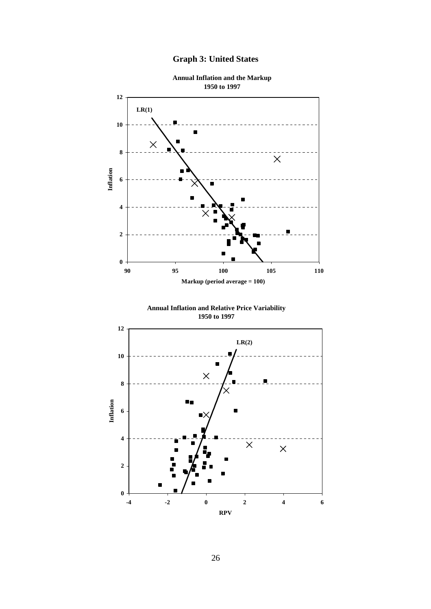



**Annual Inflation and Relative Price Variability 1950 to 1997**

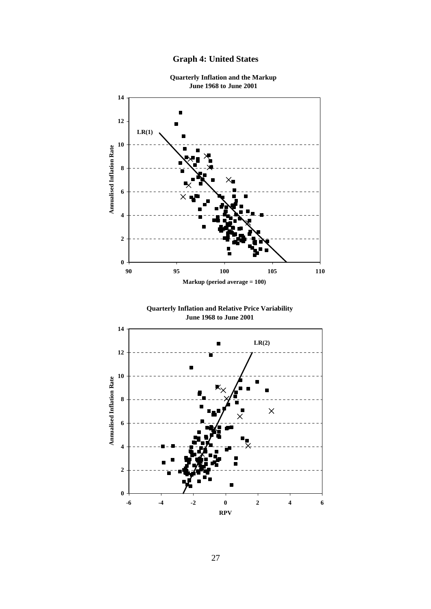

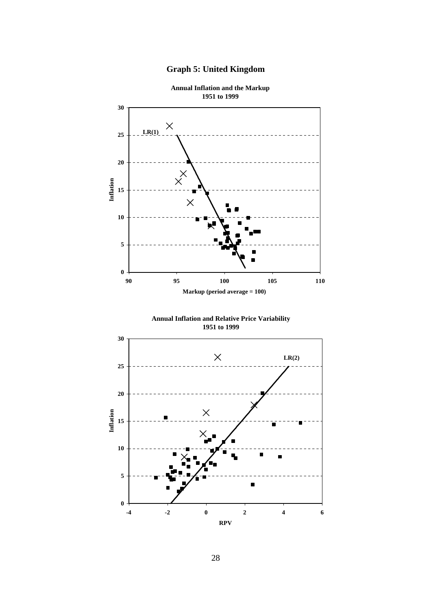

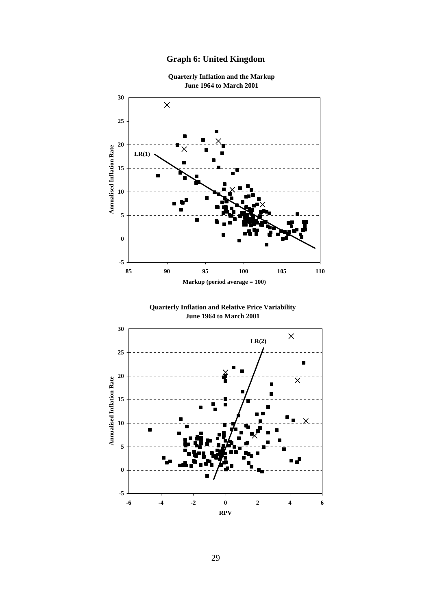# **Graph 6: United Kingdom**



**Quarterly Inflation and the Markup**

29

**RPV**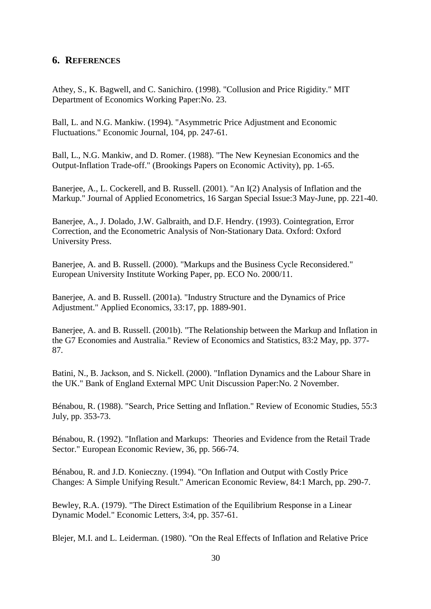## <span id="page-33-0"></span>**6. REFERENCES**

Athey, S., K. Bagwell, and C. Sanichiro. (1998). "Collusion and Price Rigidity." MIT Department of Economics Working Paper:No. 23.

Ball, L. and N.G. Mankiw. (1994). "Asymmetric Price Adjustment and Economic Fluctuations." Economic Journal, 104, pp. 247-61.

Ball, L., N.G. Mankiw, and D. Romer. (1988). "The New Keynesian Economics and the Output-Inflation Trade-off." (Brookings Papers on Economic Activity), pp. 1-65.

Banerjee, A., L. Cockerell, and B. Russell. (2001). "An I(2) Analysis of Inflation and the Markup." Journal of Applied Econometrics, 16 Sargan Special Issue:3 May-June, pp. 221-40.

Banerjee, A., J. Dolado, J.W. Galbraith, and D.F. Hendry. (1993). Cointegration, Error Correction, and the Econometric Analysis of Non-Stationary Data. Oxford: Oxford University Press.

Banerjee, A. and B. Russell. (2000). "Markups and the Business Cycle Reconsidered." European University Institute Working Paper, pp. ECO No. 2000/11.

Banerjee, A. and B. Russell. (2001a). "Industry Structure and the Dynamics of Price Adjustment." Applied Economics, 33:17, pp. 1889-901.

Baneriee, A. and B. Russell. (2001b). "The Relationship between the Markup and Inflation in the G7 Economies and Australia." Review of Economics and Statistics, 83:2 May, pp. 377- 87.

Batini, N., B. Jackson, and S. Nickell. (2000). "Inflation Dynamics and the Labour Share in the UK." Bank of England External MPC Unit Discussion Paper:No. 2 November.

Bénabou, R. (1988). "Search, Price Setting and Inflation." Review of Economic Studies, 55:3 July, pp. 353-73.

Bénabou, R. (1992). "Inflation and Markups: Theories and Evidence from the Retail Trade Sector." European Economic Review, 36, pp. 566-74.

Bénabou, R. and J.D. Konieczny. (1994). "On Inflation and Output with Costly Price Changes: A Simple Unifying Result." American Economic Review, 84:1 March, pp. 290-7.

Bewley, R.A. (1979). "The Direct Estimation of the Equilibrium Response in a Linear Dynamic Model." Economic Letters, 3:4, pp. 357-61.

Blejer, M.I. and L. Leiderman. (1980). "On the Real Effects of Inflation and Relative Price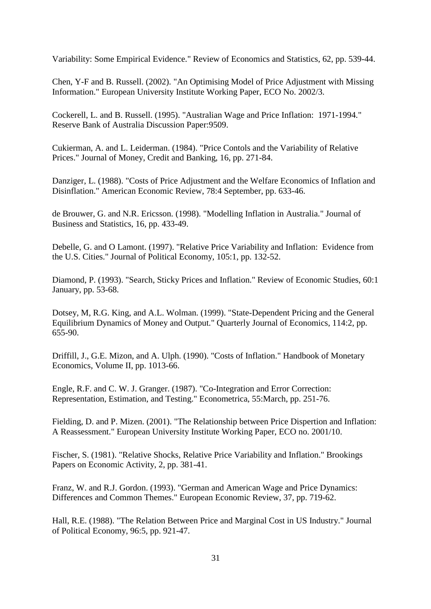Variability: Some Empirical Evidence." Review of Economics and Statistics, 62, pp. 539-44.

Chen, Y-F and B. Russell. (2002). "An Optimising Model of Price Adjustment with Missing Information." European University Institute Working Paper, ECO No. 2002/3.

Cockerell, L. and B. Russell. (1995). "Australian Wage and Price Inflation: 1971-1994." Reserve Bank of Australia Discussion Paper:9509.

Cukierman, A. and L. Leiderman. (1984). "Price Contols and the Variability of Relative Prices." Journal of Money, Credit and Banking, 16, pp. 271-84.

Danziger, L. (1988). "Costs of Price Adjustment and the Welfare Economics of Inflation and Disinflation." American Economic Review, 78:4 September, pp. 633-46.

de Brouwer, G. and N.R. Ericsson. (1998). "Modelling Inflation in Australia." Journal of Business and Statistics, 16, pp. 433-49.

Debelle, G. and O Lamont. (1997). "Relative Price Variability and Inflation: Evidence from the U.S. Cities." Journal of Political Economy, 105:1, pp. 132-52.

Diamond, P. (1993). "Search, Sticky Prices and Inflation." Review of Economic Studies, 60:1 January, pp. 53-68.

Dotsey, M, R.G. King, and A.L. Wolman. (1999). "State-Dependent Pricing and the General Equilibrium Dynamics of Money and Output." Quarterly Journal of Economics, 114:2, pp. 655-90.

Driffill, J., G.E. Mizon, and A. Ulph. (1990). "Costs of Inflation." Handbook of Monetary Economics, Volume II, pp. 1013-66.

Engle, R.F. and C. W. J. Granger. (1987). "Co-Integration and Error Correction: Representation, Estimation, and Testing." Econometrica, 55:March, pp. 251-76.

Fielding, D. and P. Mizen. (2001). "The Relationship between Price Dispertion and Inflation: A Reassessment." European University Institute Working Paper, ECO no. 2001/10.

Fischer, S. (1981). "Relative Shocks, Relative Price Variability and Inflation." Brookings Papers on Economic Activity, 2, pp. 381-41.

Franz, W. and R.J. Gordon. (1993). "German and American Wage and Price Dynamics: Differences and Common Themes." European Economic Review, 37, pp. 719-62.

Hall, R.E. (1988). "The Relation Between Price and Marginal Cost in US Industry." Journal of Political Economy, 96:5, pp. 921-47.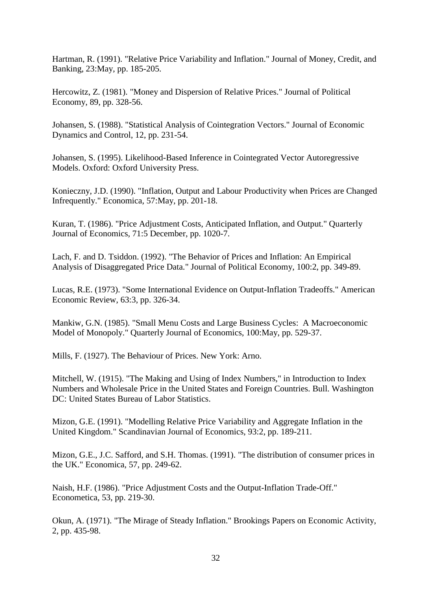Hartman, R. (1991). "Relative Price Variability and Inflation." Journal of Money, Credit, and Banking, 23:May, pp. 185-205.

Hercowitz, Z. (1981). "Money and Dispersion of Relative Prices." Journal of Political Economy, 89, pp. 328-56.

Johansen, S. (1988). "Statistical Analysis of Cointegration Vectors." Journal of Economic Dynamics and Control, 12, pp. 231-54.

Johansen, S. (1995). Likelihood-Based Inference in Cointegrated Vector Autoregressive Models. Oxford: Oxford University Press.

Konieczny, J.D. (1990). "Inflation, Output and Labour Productivity when Prices are Changed Infrequently." Economica, 57:May, pp. 201-18.

Kuran, T. (1986). "Price Adjustment Costs, Anticipated Inflation, and Output." Quarterly Journal of Economics, 71:5 December, pp. 1020-7.

Lach, F. and D. Tsiddon. (1992). "The Behavior of Prices and Inflation: An Empirical Analysis of Disaggregated Price Data." Journal of Political Economy, 100:2, pp. 349-89.

Lucas, R.E. (1973). "Some International Evidence on Output-Inflation Tradeoffs." American Economic Review, 63:3, pp. 326-34.

Mankiw, G.N. (1985). "Small Menu Costs and Large Business Cycles: A Macroeconomic Model of Monopoly." Quarterly Journal of Economics, 100:May, pp. 529-37.

Mills, F. (1927). The Behaviour of Prices. New York: Arno.

Mitchell, W. (1915). "The Making and Using of Index Numbers," in Introduction to Index Numbers and Wholesale Price in the United States and Foreign Countries. Bull. Washington DC: United States Bureau of Labor Statistics.

Mizon, G.E. (1991). "Modelling Relative Price Variability and Aggregate Inflation in the United Kingdom." Scandinavian Journal of Economics, 93:2, pp. 189-211.

Mizon, G.E., J.C. Safford, and S.H. Thomas. (1991). "The distribution of consumer prices in the UK." Economica, 57, pp. 249-62.

Naish, H.F. (1986). "Price Adjustment Costs and the Output-Inflation Trade-Off." Econometica, 53, pp. 219-30.

Okun, A. (1971). "The Mirage of Steady Inflation." Brookings Papers on Economic Activity, 2, pp. 435-98.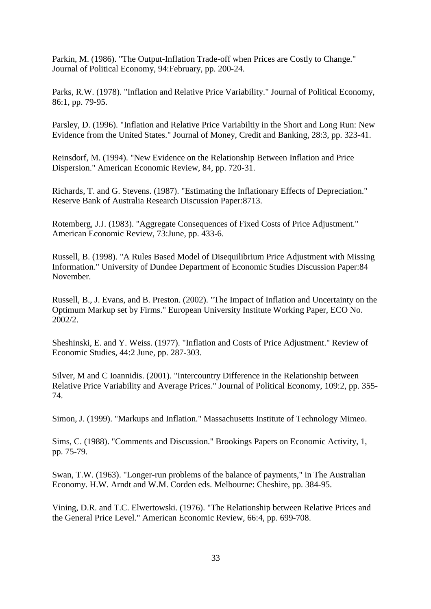Parkin, M. (1986). "The Output-Inflation Trade-off when Prices are Costly to Change." Journal of Political Economy, 94:February, pp. 200-24.

Parks, R.W. (1978). "Inflation and Relative Price Variability." Journal of Political Economy, 86:1, pp. 79-95.

Parsley, D. (1996). "Inflation and Relative Price Variabiltiy in the Short and Long Run: New Evidence from the United States." Journal of Money, Credit and Banking, 28:3, pp. 323-41.

Reinsdorf, M. (1994). "New Evidence on the Relationship Between Inflation and Price Dispersion." American Economic Review, 84, pp. 720-31.

Richards, T. and G. Stevens. (1987). "Estimating the Inflationary Effects of Depreciation." Reserve Bank of Australia Research Discussion Paper:8713.

Rotemberg, J.J. (1983). "Aggregate Consequences of Fixed Costs of Price Adjustment." American Economic Review, 73:June, pp. 433-6.

Russell, B. (1998). "A Rules Based Model of Disequilibrium Price Adjustment with Missing Information." University of Dundee Department of Economic Studies Discussion Paper:84 November.

Russell, B., J. Evans, and B. Preston. (2002). "The Impact of Inflation and Uncertainty on the Optimum Markup set by Firms." European University Institute Working Paper, ECO No. 2002/2.

Sheshinski, E. and Y. Weiss. (1977). "Inflation and Costs of Price Adjustment." Review of Economic Studies, 44:2 June, pp. 287-303.

Silver, M and C Ioannidis. (2001). "Intercountry Difference in the Relationship between Relative Price Variability and Average Prices." Journal of Political Economy, 109:2, pp. 355- 74.

Simon, J. (1999). "Markups and Inflation." Massachusetts Institute of Technology Mimeo.

Sims, C. (1988). "Comments and Discussion." Brookings Papers on Economic Activity, 1, pp. 75-79.

Swan, T.W. (1963). "Longer-run problems of the balance of payments," in The Australian Economy. H.W. Arndt and W.M. Corden eds. Melbourne: Cheshire, pp. 384-95.

Vining, D.R. and T.C. Elwertowski. (1976). "The Relationship between Relative Prices and the General Price Level." American Economic Review, 66:4, pp. 699-708.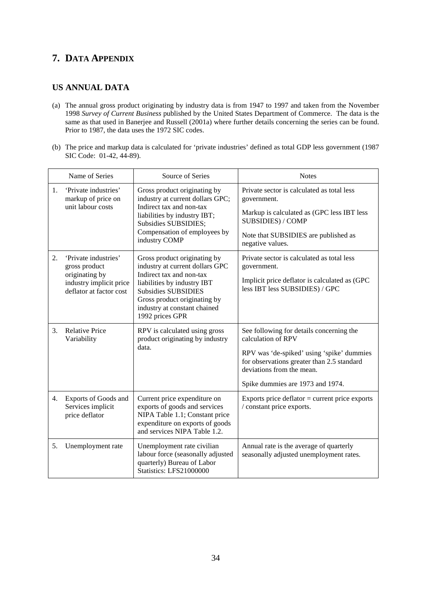# **7. DATA APPENDIX**

## **US ANNUAL DATA**

- (a) The annual gross product originating by industry data is from 1947 to 1997 and taken from the November 1998 *Survey of Current Business* published by the United States Department of Commerce. The data is the same as that used in Banerjee and Russell (2001a) where further details concerning the series can be found. Prior to 1987, the data uses the 1972 SIC codes.
- (b) The price and markup data is calculated for 'private industries' defined as total GDP less government (1987 SIC Code: 01-42, 44-89).

|    | Name of Series                                                                                                | Source of Series                                                                                                                                                                                                                            | <b>Notes</b>                                                                                                                                                                                                               |
|----|---------------------------------------------------------------------------------------------------------------|---------------------------------------------------------------------------------------------------------------------------------------------------------------------------------------------------------------------------------------------|----------------------------------------------------------------------------------------------------------------------------------------------------------------------------------------------------------------------------|
| 1. | 'Private industries'<br>markup of price on<br>unit labour costs                                               | Gross product originating by<br>industry at current dollars GPC;<br>Indirect tax and non-tax<br>liabilities by industry IBT;<br>Subsidies SUBSIDIES;<br>Compensation of employees by<br>industry COMP                                       | Private sector is calculated as total less<br>government.<br>Markup is calculated as (GPC less IBT less<br><b>SUBSIDIES) / COMP</b><br>Note that SUBSIDIES are published as<br>negative values.                            |
| 2. | 'Private industries'<br>gross product<br>originating by<br>industry implicit price<br>deflator at factor cost | Gross product originating by<br>industry at current dollars GPC<br>Indirect tax and non-tax<br>liabilities by industry IBT<br><b>Subsidies SUBSIDIES</b><br>Gross product originating by<br>industry at constant chained<br>1992 prices GPR | Private sector is calculated as total less<br>government.<br>Implicit price deflator is calculated as (GPC<br>less IBT less SUBSIDIES) / GPC                                                                               |
| 3. | <b>Relative Price</b><br>Variability                                                                          | RPV is calculated using gross<br>product originating by industry<br>data.                                                                                                                                                                   | See following for details concerning the<br>calculation of RPV<br>RPV was 'de-spiked' using 'spike' dummies<br>for observations greater than 2.5 standard<br>deviations from the mean.<br>Spike dummies are 1973 and 1974. |
| 4. | Exports of Goods and<br>Services implicit<br>price deflator                                                   | Current price expenditure on<br>exports of goods and services<br>NIPA Table 1.1; Constant price<br>expenditure on exports of goods<br>and services NIPA Table 1.2.                                                                          | Exports price deflator $=$ current price exports<br>/ constant price exports.                                                                                                                                              |
| 5. | Unemployment rate                                                                                             | Unemployment rate civilian<br>labour force (seasonally adjusted<br>quarterly) Bureau of Labor<br>Statistics: LFS21000000                                                                                                                    | Annual rate is the average of quarterly<br>seasonally adjusted unemployment rates.                                                                                                                                         |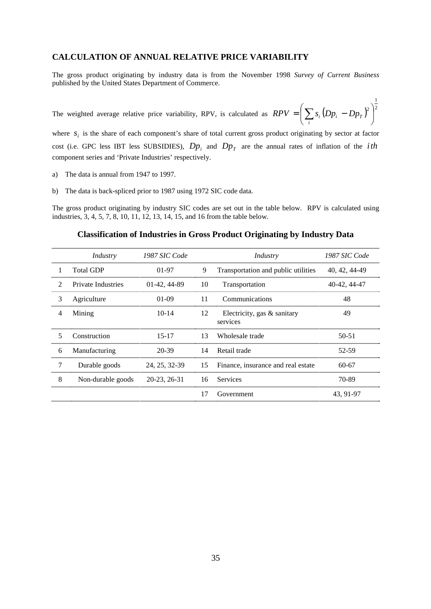### **CALCULATION OF ANNUAL RELATIVE PRICE VARIABILITY**

The gross product originating by industry data is from the November 1998 *Survey of Current Business* published by the United States Department of Commerce.

1

-

The weighted average relative price variability, RPV, is calculated as  $RPV = \left(\sum_{i} s_i (Dp_i - Dp_T)^2\right)^2$  $\left| \begin{array}{c} 2 \end{array} \right|$  $\Big(\sum_{S_i}\big(Dp_i-Dp_r\big)^2\Big)$  $=$   $\bigg(\sum_i s_i (Dp_i RPV = \sum s_i (Dp_i - Dp_T)$ 

where  $S_i$  is the share of each component's share of total current gross product originating by sector at factor cost (i.e. GPC less IBT less SUBSIDIES),  $Dp_i$  and  $Dp<sub>T</sub>$  are the annual rates of inflation of the *ith* component series and 'Private Industries' respectively.

- a) The data is annual from 1947 to 1997.
- b) The data is back-spliced prior to 1987 using 1972 SIC code data.

The gross product originating by industry SIC codes are set out in the table below. RPV is calculated using industries, 3, 4, 5, 7, 8, 10, 11, 12, 13, 14, 15, and 16 from the table below.

### **Classification of Industries in Gross Product Originating by Industry Data**

|                | Industry                  | 1987 SIC Code |    | Industry                                   | 1987 SIC Code |
|----------------|---------------------------|---------------|----|--------------------------------------------|---------------|
|                | <b>Total GDP</b>          | $01-97$       | 9  | Transportation and public utilities        | 40, 42, 44-49 |
| $\mathfrak{D}$ | <b>Private Industries</b> | 01-42, 44-89  | 10 | Transportation                             | 40-42, 44-47  |
| 3              | Agriculture               | $01-09$       | 11 | Communications                             | 48            |
| 4              | Mining                    | $10-14$       | 12 | Electricity, gas $\&$ sanitary<br>services | 49            |
| 5              | Construction              | $15 - 17$     | 13 | Wholesale trade                            | 50-51         |
| 6              | Manufacturing             | 20-39         | 14 | Retail trade                               | 52-59         |
| 7              | Durable goods             | 24, 25, 32-39 | 15 | Finance, insurance and real estate         | $60-67$       |
| 8              | Non-durable goods         | 20-23, 26-31  | 16 | <b>Services</b>                            | 70-89         |
|                |                           |               | 17 | Government                                 | 43, 91-97     |
|                |                           |               |    |                                            |               |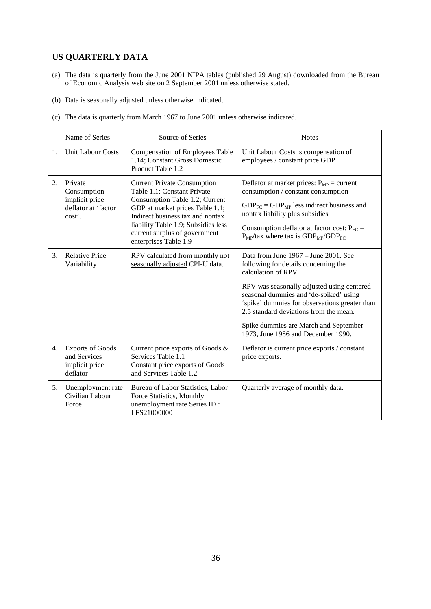# **US QUARTERLY DATA**

- (a) The data is quarterly from the June 2001 NIPA tables (published 29 August) downloaded from the Bureau of Economic Analysis web site on 2 September 2001 unless otherwise stated.
- (b) Data is seasonally adjusted unless otherwise indicated.
- (c) The data is quarterly from March 1967 to June 2001 unless otherwise indicated.

|                | Name of Series                                                            | Source of Series                                                                                                                                                                                                                                                            | <b>Notes</b>                                                                                                                                                                                                                                                                                                                                                         |
|----------------|---------------------------------------------------------------------------|-----------------------------------------------------------------------------------------------------------------------------------------------------------------------------------------------------------------------------------------------------------------------------|----------------------------------------------------------------------------------------------------------------------------------------------------------------------------------------------------------------------------------------------------------------------------------------------------------------------------------------------------------------------|
| $\mathbf{1}$ . | <b>Unit Labour Costs</b>                                                  | <b>Compensation of Employees Table</b><br>1.14; Constant Gross Domestic<br>Product Table 1.2                                                                                                                                                                                | Unit Labour Costs is compensation of<br>employees / constant price GDP                                                                                                                                                                                                                                                                                               |
| 2.             | Private<br>Consumption<br>implicit price<br>deflator at 'factor<br>cost'. | <b>Current Private Consumption</b><br>Table 1.1: Constant Private<br>Consumption Table 1.2; Current<br>GDP at market prices Table 1.1;<br>Indirect business tax and nontax<br>liability Table 1.9; Subsidies less<br>current surplus of government<br>enterprises Table 1.9 | Deflator at market prices: $P_{MP}$ = current<br>consumption / constant consumption<br>$GDP_{FC} = GDP_{MP}$ less indirect business and<br>nontax liability plus subsidies<br>Consumption deflator at factor cost: $P_{FC}$ =<br>$P_{MP}/$ tax where tax is $GDP_{MP}/GDP_{FC}$                                                                                      |
| 3.             | <b>Relative Price</b><br>Variability                                      | RPV calculated from monthly not<br>seasonally adjusted CPI-U data.                                                                                                                                                                                                          | Data from June 1967 – June 2001. See<br>following for details concerning the<br>calculation of RPV<br>RPV was seasonally adjusted using centered<br>seasonal dummies and 'de-spiked' using<br>'spike' dummies for observations greater than<br>2.5 standard deviations from the mean.<br>Spike dummies are March and September<br>1973, June 1986 and December 1990. |
| 4.             | <b>Exports of Goods</b><br>and Services<br>implicit price<br>deflator     | Current price exports of Goods &<br>Services Table 1.1<br>Constant price exports of Goods<br>and Services Table 1.2                                                                                                                                                         | Deflator is current price exports / constant<br>price exports.                                                                                                                                                                                                                                                                                                       |
| 5.             | Unemployment rate<br>Civilian Labour<br>Force                             | Bureau of Labor Statistics, Labor<br>Force Statistics, Monthly<br>unemployment rate Series ID :<br>LFS21000000                                                                                                                                                              | Quarterly average of monthly data.                                                                                                                                                                                                                                                                                                                                   |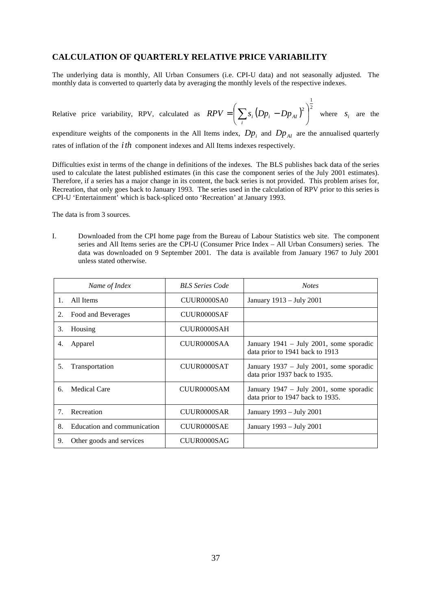## **CALCULATION OF QUARTERLY RELATIVE PRICE VARIABILITY**

The underlying data is monthly, All Urban Consumers (i.e. CPI-U data) and not seasonally adjusted. The monthly data is converted to quarterly data by averaging the monthly levels of the respective indexes.

Relative price variability, RPV, calculated as  $RPV = \left( \sum s_i (Dp_i - Dp_{AI})^2 \right)^2$ 1  $\begin{array}{c} 2 \end{array}$ - $\left(\sum_{S_i} (Dp_i - Dp_{_{AI}})^2\right)$  $=$   $\bigg(\sum_i s_i (Dp_i RPV = \left(\sum s_i (Dp_i - Dp_{AI})^2\right)$  where  $s_i$  are the

expenditure weights of the components in the All Items index,  $Dp_i$  and  $Dp_{AI}$  are the annualised quarterly rates of inflation of the *ith* component indexes and All Items indexes respectively.

Difficulties exist in terms of the change in definitions of the indexes. The BLS publishes back data of the series used to calculate the latest published estimates (in this case the component series of the July 2001 estimates). Therefore, if a series has a major change in its content, the back series is not provided. This problem arises for, Recreation, that only goes back to January 1993. The series used in the calculation of RPV prior to this series is CPI-U 'Entertainment' which is back-spliced onto 'Recreation' at January 1993.

The data is from 3 sources.

I. Downloaded from the CPI home page from the Bureau of Labour Statistics web site. The component series and All Items series are the CPI-U (Consumer Price Index – All Urban Consumers) series. The data was downloaded on 9 September 2001. The data is available from January 1967 to July 2001 unless stated otherwise.

| Name of Index                     | <b>BLS</b> Series Code | <b>Notes</b>                                                                |
|-----------------------------------|------------------------|-----------------------------------------------------------------------------|
| All Items                         | CUUR0000SA0            | January 1913 – July 2001                                                    |
| Food and Beverages<br>2.          | CUUR0000SAF            |                                                                             |
| 3.<br>Housing                     | CUUR0000SAH            |                                                                             |
| Apparel<br>4.                     | CUUR0000SAA            | January 1941 – July 2001, some sporadic<br>data prior to 1941 back to 1913  |
| 5.<br>Transportation              | CUUR0000SAT            | January 1937 – July 2001, some sporadic<br>data prior 1937 back to 1935.    |
| Medical Care<br>б.                | CUUR0000SAM            | January 1947 – July 2001, some sporadic<br>data prior to 1947 back to 1935. |
| Recreation                        | CUUR0000SAR            | January 1993 – July 2001                                                    |
| Education and communication<br>8. | CUUR0000SAE            | January 1993 - July 2001                                                    |
| Other goods and services<br>9.    | CUUR0000SAG            |                                                                             |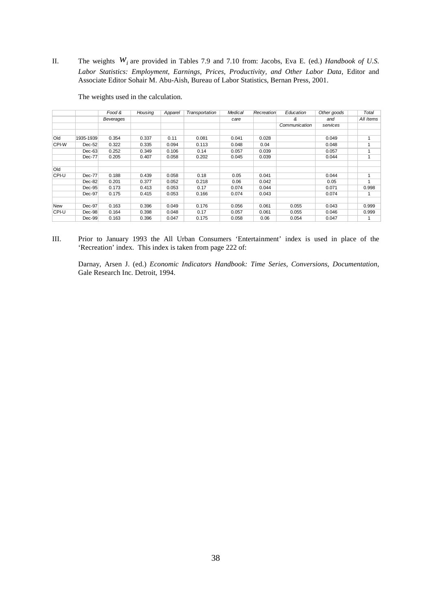II. The weights *wi* are provided in Tables 7.9 and 7.10 from: Jacobs, Eva E. (ed.) *Handbook of U.S. Labor Statistics: Employment, Earnings, Prices, Productivity, and Other Labor Data*, Editor and Associate Editor Sohair M. Abu-Aish, Bureau of Labor Statistics, Bernan Press, 2001.

|            |               | Food &           | Housing | Apparel | Transportation | Medical | Recreation | Education     | Other goods | Total     |
|------------|---------------|------------------|---------|---------|----------------|---------|------------|---------------|-------------|-----------|
|            |               | <b>Beverages</b> |         |         |                | care    |            | &             | and         | All Items |
|            |               |                  |         |         |                |         |            | Communication | services    |           |
|            |               |                  |         |         |                |         |            |               |             |           |
| Old        | 1935-1939     | 0.354            | 0.337   | 0.11    | 0.081          | 0.041   | 0.028      |               | 0.049       | 1         |
| CPI-W      | $Dec-52$      | 0.322            | 0.335   | 0.094   | 0.113          | 0.048   | 0.04       |               | 0.048       | 1         |
|            | $Dec-63$      | 0.252            | 0.349   | 0.106   | 0.14           | 0.057   | 0.039      |               | 0.057       | 1         |
|            | <b>Dec-77</b> | 0.205            | 0.407   | 0.058   | 0.202          | 0.045   | 0.039      |               | 0.044       | 1         |
|            |               |                  |         |         |                |         |            |               |             |           |
| Old        |               |                  |         |         |                |         |            |               |             |           |
| CPI-U      | Dec-77        | 0.188            | 0.439   | 0.058   | 0.18           | 0.05    | 0.041      |               | 0.044       | 1         |
|            | Dec-82        | 0.201            | 0.377   | 0.052   | 0.218          | 0.06    | 0.042      |               | 0.05        | 1         |
|            | Dec-95        | 0.173            | 0.413   | 0.053   | 0.17           | 0.074   | 0.044      |               | 0.071       | 0.998     |
|            | Dec-97        | 0.175            | 0.415   | 0.053   | 0.166          | 0.074   | 0.043      |               | 0.074       |           |
|            |               |                  |         |         |                |         |            |               |             |           |
| <b>New</b> | Dec-97        | 0.163            | 0.396   | 0.049   | 0.176          | 0.056   | 0.061      | 0.055         | 0.043       | 0.999     |
| CPI-U      | Dec-98        | 0.164            | 0.398   | 0.048   | 0.17           | 0.057   | 0.061      | 0.055         | 0.046       | 0.999     |
|            | $Dec-99$      | 0.163            | 0.396   | 0.047   | 0.175          | 0.058   | 0.06       | 0.054         | 0.047       | 1         |

The weights used in the calculation.

III. Prior to January 1993 the All Urban Consumers 'Entertainment' index is used in place of the 'Recreation' index. This index is taken from page 222 of:

Darnay, Arsen J. (ed.) *Economic Indicators Handbook: Time Series, Conversions, Documentation*, Gale Research Inc. Detroit, 1994.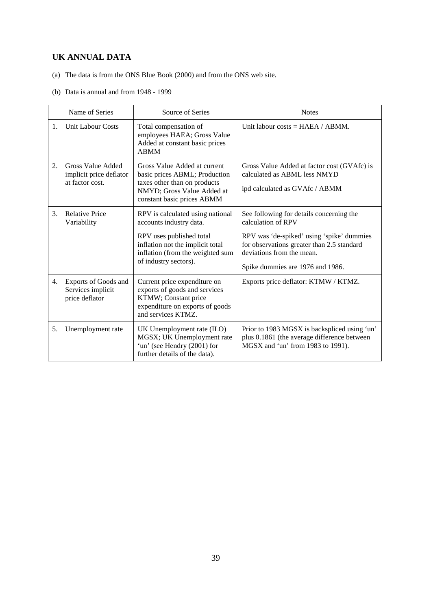# **UK ANNUAL DATA**

- (a) The data is from the ONS Blue Book (2000) and from the ONS web site.
- (b) Data is annual and from 1948 1999

|    | Name of Series                                                  | Source of Series                                                                                                                                                                         | <b>Notes</b>                                                                                                                                                                                                               |
|----|-----------------------------------------------------------------|------------------------------------------------------------------------------------------------------------------------------------------------------------------------------------------|----------------------------------------------------------------------------------------------------------------------------------------------------------------------------------------------------------------------------|
| 1. | <b>Unit Labour Costs</b>                                        | Total compensation of<br>employees HAEA; Gross Value<br>Added at constant basic prices<br><b>ABMM</b>                                                                                    | Unit labour costs = $HAEA / ABMM$ .                                                                                                                                                                                        |
| 2. | Gross Value Added<br>implicit price deflator<br>at factor cost. | Gross Value Added at current<br>basic prices ABML; Production<br>taxes other than on products<br>NMYD; Gross Value Added at<br>constant basic prices ABMM                                | Gross Value Added at factor cost (GVAfc) is<br>calculated as ABML less NMYD<br>ipd calculated as GVAfc / ABMM                                                                                                              |
| 3. | <b>Relative Price</b><br>Variability                            | RPV is calculated using national<br>accounts industry data.<br>RPV uses published total<br>inflation not the implicit total<br>inflation (from the weighted sum<br>of industry sectors). | See following for details concerning the<br>calculation of RPV<br>RPV was 'de-spiked' using 'spike' dummies<br>for observations greater than 2.5 standard<br>deviations from the mean.<br>Spike dummies are 1976 and 1986. |
| 4. | Exports of Goods and<br>Services implicit<br>price deflator     | Current price expenditure on<br>exports of goods and services<br>KTMW; Constant price<br>expenditure on exports of goods<br>and services KTMZ.                                           | Exports price deflator: KTMW / KTMZ.                                                                                                                                                                                       |
| 5. | Unemployment rate                                               | UK Unemployment rate (ILO)<br>MGSX; UK Unemployment rate<br>'un' (see Hendry (2001) for<br>further details of the data).                                                                 | Prior to 1983 MGSX is backspliced using 'un'<br>plus 0.1861 (the average difference between<br>MGSX and 'un' from 1983 to 1991).                                                                                           |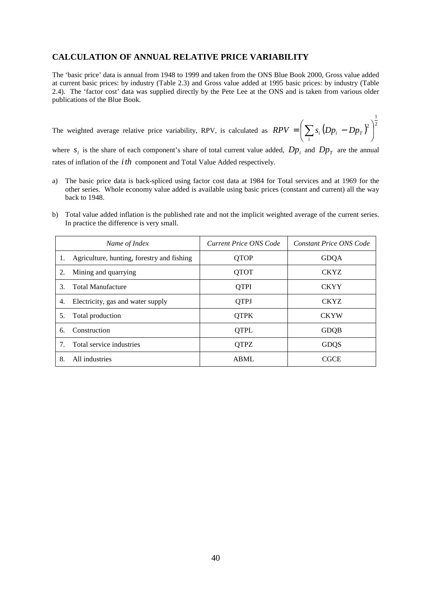### **CALCULATION OF ANNUAL RELATIVE PRICE VARIABILITY**

The 'basic price' data is annual from 1948 to 1999 and taken from the ONS Blue Book 2000, Gross value added at current basic prices: by industry (Table 2.3) and Gross value added at 1995 basic prices: by industry (Table 2.4). The 'factor cost' data was supplied directly by the Pete Lee at the ONS and is taken from various older publications of the Blue Book.

The weighted average relative price variability, RPV, is calculated as 
$$
RPV = \left(\sum_i s_i (Dp_i - Dp_T)^2\right)^{\frac{1}{2}}
$$

where  $s_i$  is the share of each component's share of total current value added,  $Dp_i$  and  $Dp_T$  are the annual rates of inflation of the *ith* component and Total Value Added respectively.

- a) The basic price data is back-spliced using factor cost data at 1984 for Total services and at 1969 for the other series. Whole economy value added is available using basic prices (constant and current) all the way back to 1948.
- b) Total value added inflation is the published rate and not the implicit weighted average of the current series. In practice the difference is very small.

|    | Name of Index                              | Current Price ONS Code | <b>Constant Price ONS Code</b> |
|----|--------------------------------------------|------------------------|--------------------------------|
| 1. | Agriculture, hunting, forestry and fishing | <b>OTOP</b>            | <b>GDQA</b>                    |
| 2. | Mining and quarrying                       | <b>QTOT</b>            | <b>CKYZ</b>                    |
| 3. | <b>Total Manufacture</b>                   | <b>QTPI</b>            | <b>CKYY</b>                    |
| 4. | Electricity, gas and water supply          | <b>QTPJ</b>            | <b>CKYZ</b>                    |
| 5. | Total production                           | <b>OTPK</b>            | <b>CKYW</b>                    |
| 6. | Construction                               | QTPL                   | <b>GDQB</b>                    |
|    | Total service industries                   | <b>OTPZ</b>            | <b>GDQS</b>                    |
| 8. | All industries                             | <b>ABML</b>            | <b>CGCE</b>                    |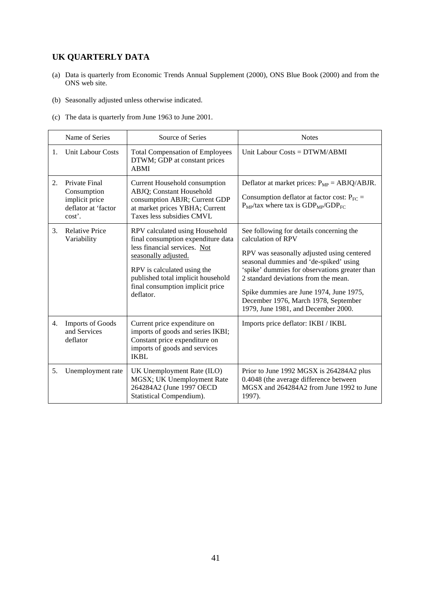# **UK QUARTERLY DATA**

- (a) Data is quarterly from Economic Trends Annual Supplement (2000), ONS Blue Book (2000) and from the ONS web site.
- (b) Seasonally adjusted unless otherwise indicated.
- (c) The data is quarterly from June 1963 to June 2001.

|             | Name of Series                                                                  | Source of Series                                                                                                                                                                                                                                   | <b>Notes</b>                                                                                                                                                                                                                                                                                                                                                              |
|-------------|---------------------------------------------------------------------------------|----------------------------------------------------------------------------------------------------------------------------------------------------------------------------------------------------------------------------------------------------|---------------------------------------------------------------------------------------------------------------------------------------------------------------------------------------------------------------------------------------------------------------------------------------------------------------------------------------------------------------------------|
| $1_{\cdot}$ | <b>Unit Labour Costs</b>                                                        | <b>Total Compensation of Employees</b><br>DTWM; GDP at constant prices<br><b>ABMI</b>                                                                                                                                                              | Unit Labour Costs = DTWM/ABMI                                                                                                                                                                                                                                                                                                                                             |
| 2.          | Private Final<br>Consumption<br>implicit price<br>deflator at 'factor<br>cost'. | Current Household consumption<br>ABJQ; Constant Household<br>consumption ABJR; Current GDP<br>at market prices YBHA; Current<br>Taxes less subsidies CMVL                                                                                          | Deflator at market prices: $P_{MP} = ABJQ/ABJR$ .<br>Consumption deflator at factor cost: $P_{FC}$ =<br>$P_{MP}/$ tax where tax is $GDP_{MP}/GDP_{FC}$                                                                                                                                                                                                                    |
| 3.          | <b>Relative Price</b><br>Variability                                            | RPV calculated using Household<br>final consumption expenditure data<br>less financial services. Not<br>seasonally adjusted.<br>RPV is calculated using the<br>published total implicit household<br>final consumption implicit price<br>deflator. | See following for details concerning the<br>calculation of RPV<br>RPV was seasonally adjusted using centered<br>seasonal dummies and 'de-spiked' using<br>'spike' dummies for observations greater than<br>2 standard deviations from the mean.<br>Spike dummies are June 1974, June 1975,<br>December 1976, March 1978, September<br>1979, June 1981, and December 2000. |
| 4.          | <b>Imports of Goods</b><br>and Services<br>deflator                             | Current price expenditure on<br>imports of goods and series IKBI;<br>Constant price expenditure on<br>imports of goods and services<br><b>IKBL</b>                                                                                                 | Imports price deflator: IKBI / IKBL                                                                                                                                                                                                                                                                                                                                       |
| 5.          | Unemployment rate                                                               | UK Unemployment Rate (ILO)<br>MGSX; UK Unemployment Rate<br>264284A2 (June 1997 OECD<br>Statistical Compendium).                                                                                                                                   | Prior to June 1992 MGSX is 264284A2 plus<br>0.4048 (the average difference between<br>MGSX and 264284A2 from June 1992 to June<br>1997).                                                                                                                                                                                                                                  |